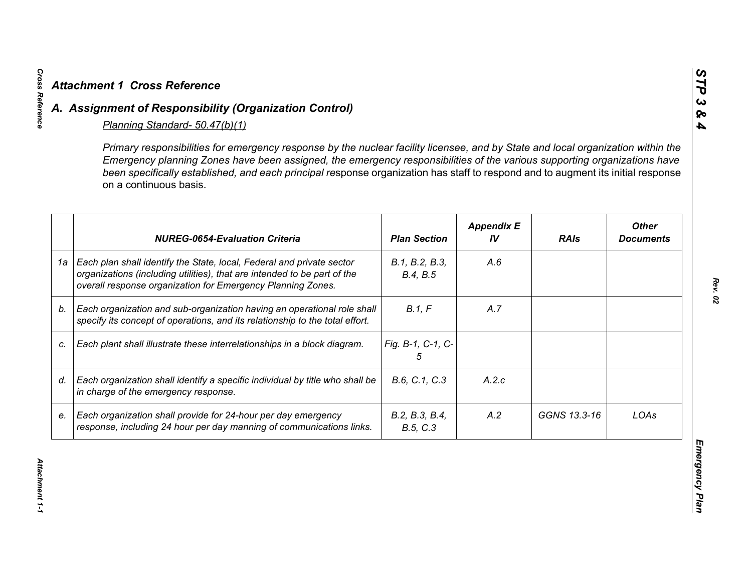|    | <b>Attachment 1 Cross Reference</b><br>A. Assignment of Responsibility (Organization Control)                                                                                                                                                                                                                                                                                                                                                                |                            |                         |              |                                  |
|----|--------------------------------------------------------------------------------------------------------------------------------------------------------------------------------------------------------------------------------------------------------------------------------------------------------------------------------------------------------------------------------------------------------------------------------------------------------------|----------------------------|-------------------------|--------------|----------------------------------|
|    | Planning Standard- 50.47(b)(1)<br>Primary responsibilities for emergency response by the nuclear facility licensee, and by State and local organization within the<br>Emergency planning Zones have been assigned, the emergency responsibilities of the various supporting organizations have<br>been specifically established, and each principal response organization has staff to respond and to augment its initial response<br>on a continuous basis. |                            |                         |              |                                  |
|    | <b>NUREG-0654-Evaluation Criteria</b>                                                                                                                                                                                                                                                                                                                                                                                                                        | <b>Plan Section</b>        | <b>Appendix E</b><br>IV | <b>RAIs</b>  | <b>Other</b><br><b>Documents</b> |
| 1a | Each plan shall identify the State, local, Federal and private sector<br>organizations (including utilities), that are intended to be part of the<br>overall response organization for Emergency Planning Zones.                                                                                                                                                                                                                                             | B.1, B.2, B.3,<br>B.4, B.5 | A.6                     |              |                                  |
| b. | Each organization and sub-organization having an operational role shall<br>specify its concept of operations, and its relationship to the total effort.                                                                                                                                                                                                                                                                                                      | B.1. F                     | A.7                     |              |                                  |
| C. | Each plant shall illustrate these interrelationships in a block diagram.                                                                                                                                                                                                                                                                                                                                                                                     | Fig. B-1, C-1, C-<br>5     |                         |              |                                  |
| d. | Each organization shall identify a specific individual by title who shall be<br>in charge of the emergency response.                                                                                                                                                                                                                                                                                                                                         | B.6, C.1, C.3              | A.2.c                   |              |                                  |
| e. | Each organization shall provide for 24-hour per day emergency<br>response, including 24 hour per day manning of communications links.                                                                                                                                                                                                                                                                                                                        | B.2, B.3, B.4,<br>B.5, C.3 | A.2                     | GGNS 13.3-16 | LOAs                             |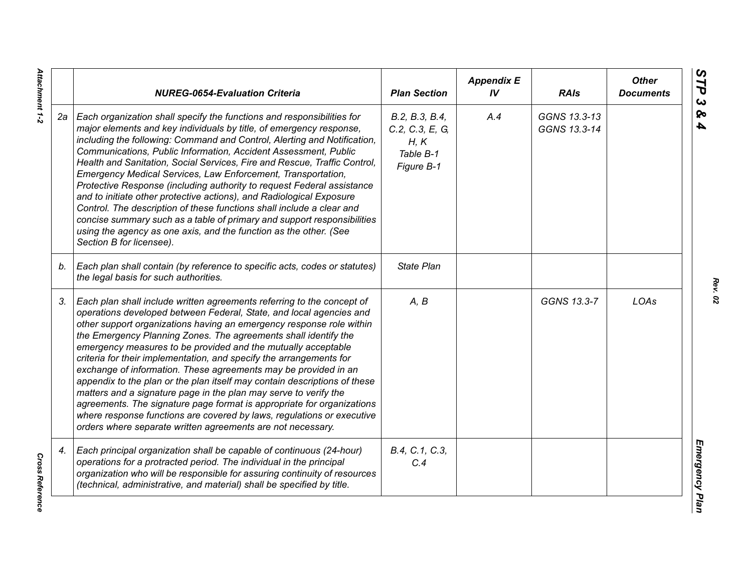|    | <b>NUREG-0654-Evaluation Criteria</b>                                                                                                                                                                                                                                                                                                                                                                                                                                                                                                                                                                                                                                                                                                                                                                                                                                   | <b>Plan Section</b>                                                  | <b>Appendix E</b><br>IV | <b>RAIs</b>                  | <b>Other</b><br><b>Documents</b> |
|----|-------------------------------------------------------------------------------------------------------------------------------------------------------------------------------------------------------------------------------------------------------------------------------------------------------------------------------------------------------------------------------------------------------------------------------------------------------------------------------------------------------------------------------------------------------------------------------------------------------------------------------------------------------------------------------------------------------------------------------------------------------------------------------------------------------------------------------------------------------------------------|----------------------------------------------------------------------|-------------------------|------------------------------|----------------------------------|
| 2а | Each organization shall specify the functions and responsibilities for<br>major elements and key individuals by title, of emergency response,<br>including the following: Command and Control, Alerting and Notification,<br>Communications, Public Information, Accident Assessment, Public<br>Health and Sanitation, Social Services, Fire and Rescue, Traffic Control,<br>Emergency Medical Services, Law Enforcement, Transportation,<br>Protective Response (including authority to request Federal assistance<br>and to initiate other protective actions), and Radiological Exposure<br>Control. The description of these functions shall include a clear and<br>concise summary such as a table of primary and support responsibilities<br>using the agency as one axis, and the function as the other. (See<br>Section B for licensee).                        | B.2, B.3, B.4,<br>C.2, C.3, E, G,<br>H, K<br>Table B-1<br>Figure B-1 | A.4                     | GGNS 13.3-13<br>GGNS 13.3-14 |                                  |
| b. | Each plan shall contain (by reference to specific acts, codes or statutes)<br>the legal basis for such authorities.                                                                                                                                                                                                                                                                                                                                                                                                                                                                                                                                                                                                                                                                                                                                                     | <b>State Plan</b>                                                    |                         |                              |                                  |
| 3. | Each plan shall include written agreements referring to the concept of<br>operations developed between Federal, State, and local agencies and<br>other support organizations having an emergency response role within<br>the Emergency Planning Zones. The agreements shall identify the<br>emergency measures to be provided and the mutually acceptable<br>criteria for their implementation, and specify the arrangements for<br>exchange of information. These agreements may be provided in an<br>appendix to the plan or the plan itself may contain descriptions of these<br>matters and a signature page in the plan may serve to verify the<br>agreements. The signature page format is appropriate for organizations<br>where response functions are covered by laws, regulations or executive<br>orders where separate written agreements are not necessary. | A, B                                                                 |                         | GGNS 13.3-7                  | LOAs                             |
| 4. | Each principal organization shall be capable of continuous (24-hour)<br>operations for a protracted period. The individual in the principal<br>organization who will be responsible for assuring continuity of resources<br>(technical, administrative, and material) shall be specified by title.                                                                                                                                                                                                                                                                                                                                                                                                                                                                                                                                                                      | B.4, C.1, C.3,<br>C.4                                                |                         |                              |                                  |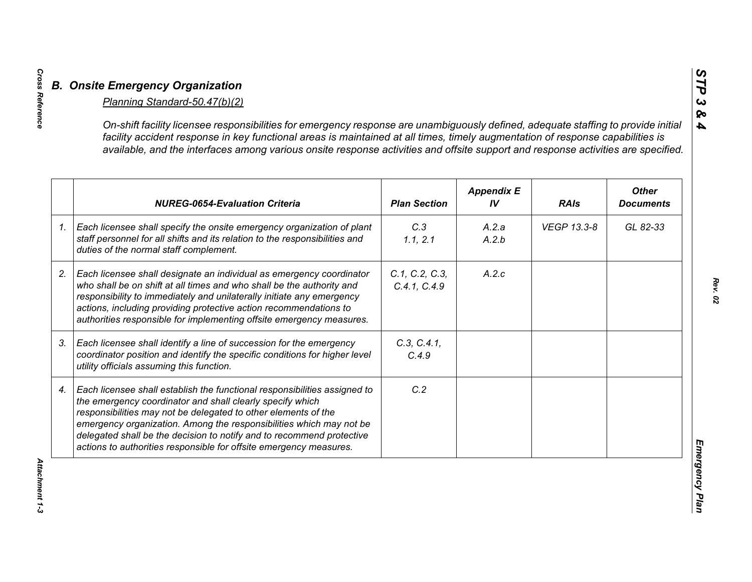| <b>NUREG-0654-Evaluation Criteria</b>                                                                                                                                                                                                                                                                                                                                                                                          | <b>Plan Section</b>            | <b>Appendix E</b><br>IV | <b>RAIs</b> | <b>Other</b><br><b>Documents</b> |
|--------------------------------------------------------------------------------------------------------------------------------------------------------------------------------------------------------------------------------------------------------------------------------------------------------------------------------------------------------------------------------------------------------------------------------|--------------------------------|-------------------------|-------------|----------------------------------|
| Each licensee shall specify the onsite emergency organization of plant<br>staff personnel for all shifts and its relation to the responsibilities and<br>duties of the normal staff complement.                                                                                                                                                                                                                                | C.3<br>1.1, 2.1                | A.2.a<br>A.2.b          | VEGP 13.3-8 | GL 82-33                         |
| Each licensee shall designate an individual as emergency coordinator<br>who shall be on shift at all times and who shall be the authority and<br>responsibility to immediately and unilaterally initiate any emergency<br>actions, including providing protective action recommendations to<br>authorities responsible for implementing offsite emergency measures.                                                            | C.1, C.2, C.3,<br>C.4.1, C.4.9 | A.2.c                   |             |                                  |
| Each licensee shall identify a line of succession for the emergency<br>coordinator position and identify the specific conditions for higher level<br>utility officials assuming this function.                                                                                                                                                                                                                                 | C.3, C.4.1,<br>C.4.9           |                         |             |                                  |
| Each licensee shall establish the functional responsibilities assigned to<br>the emergency coordinator and shall clearly specify which<br>responsibilities may not be delegated to other elements of the<br>emergency organization. Among the responsibilities which may not be<br>delegated shall be the decision to notify and to recommend protective<br>actions to authorities responsible for offsite emergency measures. | C.2                            |                         |             |                                  |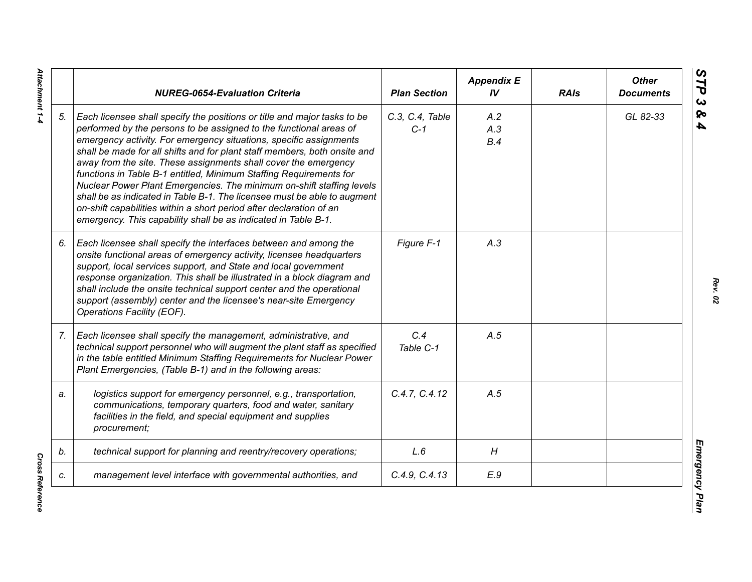|    | <b>NUREG-0654-Evaluation Criteria</b>                                                                                                                                                                                                                                                                                                                                                                                                                                                                                                                                                                                                                                                                                                    | <b>Plan Section</b>      | <b>Appendix E</b><br>IV | <b>RAIs</b> | <b>Other</b><br><b>Documents</b> |
|----|------------------------------------------------------------------------------------------------------------------------------------------------------------------------------------------------------------------------------------------------------------------------------------------------------------------------------------------------------------------------------------------------------------------------------------------------------------------------------------------------------------------------------------------------------------------------------------------------------------------------------------------------------------------------------------------------------------------------------------------|--------------------------|-------------------------|-------------|----------------------------------|
| 5. | Each licensee shall specify the positions or title and major tasks to be<br>performed by the persons to be assigned to the functional areas of<br>emergency activity. For emergency situations, specific assignments<br>shall be made for all shifts and for plant staff members, both onsite and<br>away from the site. These assignments shall cover the emergency<br>functions in Table B-1 entitled, Minimum Staffing Requirements for<br>Nuclear Power Plant Emergencies. The minimum on-shift staffing levels<br>shall be as indicated in Table B-1. The licensee must be able to augment<br>on-shift capabilities within a short period after declaration of an<br>emergency. This capability shall be as indicated in Table B-1. | C.3, C.4, Table<br>$C-1$ | A.2<br>A.3<br>B.4       |             | GL 82-33                         |
| 6. | Each licensee shall specify the interfaces between and among the<br>onsite functional areas of emergency activity, licensee headquarters<br>support, local services support, and State and local government<br>response organization. This shall be illustrated in a block diagram and<br>shall include the onsite technical support center and the operational<br>support (assembly) center and the licensee's near-site Emergency<br>Operations Facility (EOF).                                                                                                                                                                                                                                                                        | Figure F-1               | A.3                     |             |                                  |
| 7. | Each licensee shall specify the management, administrative, and<br>technical support personnel who will augment the plant staff as specified<br>in the table entitled Minimum Staffing Requirements for Nuclear Power<br>Plant Emergencies, (Table B-1) and in the following areas:                                                                                                                                                                                                                                                                                                                                                                                                                                                      | C.4<br>Table C-1         | A.5                     |             |                                  |
| a. | logistics support for emergency personnel, e.g., transportation,<br>communications, temporary quarters, food and water, sanitary<br>facilities in the field, and special equipment and supplies<br>procurement;                                                                                                                                                                                                                                                                                                                                                                                                                                                                                                                          | C.4.7, C.4.12            | A.5                     |             |                                  |
| b. | technical support for planning and reentry/recovery operations;                                                                                                                                                                                                                                                                                                                                                                                                                                                                                                                                                                                                                                                                          | L.6                      | H                       |             |                                  |
| c. | management level interface with governmental authorities, and                                                                                                                                                                                                                                                                                                                                                                                                                                                                                                                                                                                                                                                                            | C.4.9, C.4.13            | E.9                     |             |                                  |

**Cross Reference** *Cross Reference*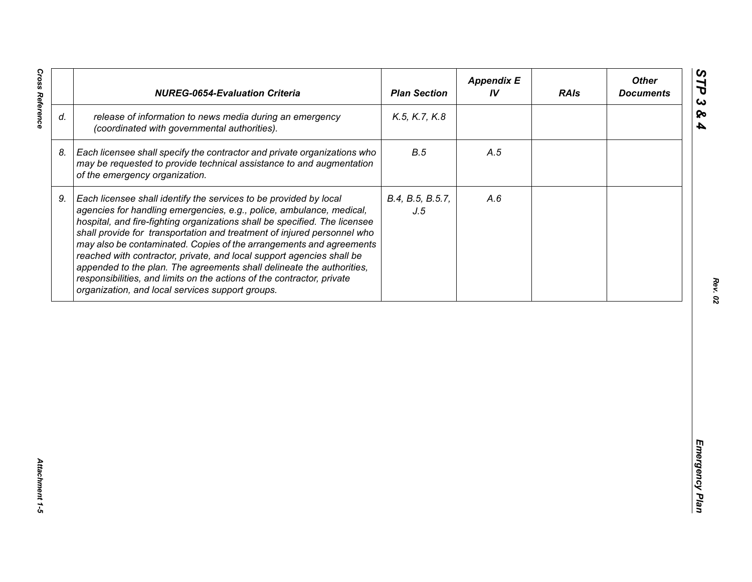| release of information to news media during an emergency<br>K.5, K.7, K.8<br>(coordinated with governmental authorities).<br>B.5<br>Each licensee shall specify the contractor and private organizations who<br>A.5<br>may be requested to provide technical assistance to and augmentation<br>of the emergency organization.<br>Each licensee shall identify the services to be provided by local<br>B.4, B.5, B.5.7,<br>A.6<br>agencies for handling emergencies, e.g., police, ambulance, medical,<br>J.5<br>hospital, and fire-fighting organizations shall be specified. The licensee<br>shall provide for transportation and treatment of injured personnel who<br>may also be contaminated. Copies of the arrangements and agreements<br>reached with contractor, private, and local support agencies shall be | appended to the plan. The agreements shall delineate the authorities,<br>responsibilities, and limits on the actions of the contractor, private<br>organization, and local services support groups. |    | <b>NUREG-0654-Evaluation Criteria</b> | <b>Plan Section</b> | <b>Appendix E</b><br>IV | <b>RAIs</b> | <b>Other</b><br><b>Documents</b> |
|-----------------------------------------------------------------------------------------------------------------------------------------------------------------------------------------------------------------------------------------------------------------------------------------------------------------------------------------------------------------------------------------------------------------------------------------------------------------------------------------------------------------------------------------------------------------------------------------------------------------------------------------------------------------------------------------------------------------------------------------------------------------------------------------------------------------------|-----------------------------------------------------------------------------------------------------------------------------------------------------------------------------------------------------|----|---------------------------------------|---------------------|-------------------------|-------------|----------------------------------|
|                                                                                                                                                                                                                                                                                                                                                                                                                                                                                                                                                                                                                                                                                                                                                                                                                       |                                                                                                                                                                                                     | d. |                                       |                     |                         |             |                                  |
|                                                                                                                                                                                                                                                                                                                                                                                                                                                                                                                                                                                                                                                                                                                                                                                                                       |                                                                                                                                                                                                     | 8. |                                       |                     |                         |             |                                  |
|                                                                                                                                                                                                                                                                                                                                                                                                                                                                                                                                                                                                                                                                                                                                                                                                                       |                                                                                                                                                                                                     | 9. |                                       |                     |                         |             |                                  |
|                                                                                                                                                                                                                                                                                                                                                                                                                                                                                                                                                                                                                                                                                                                                                                                                                       |                                                                                                                                                                                                     |    |                                       |                     |                         |             |                                  |
|                                                                                                                                                                                                                                                                                                                                                                                                                                                                                                                                                                                                                                                                                                                                                                                                                       |                                                                                                                                                                                                     |    |                                       |                     |                         |             |                                  |
|                                                                                                                                                                                                                                                                                                                                                                                                                                                                                                                                                                                                                                                                                                                                                                                                                       |                                                                                                                                                                                                     |    |                                       |                     |                         |             |                                  |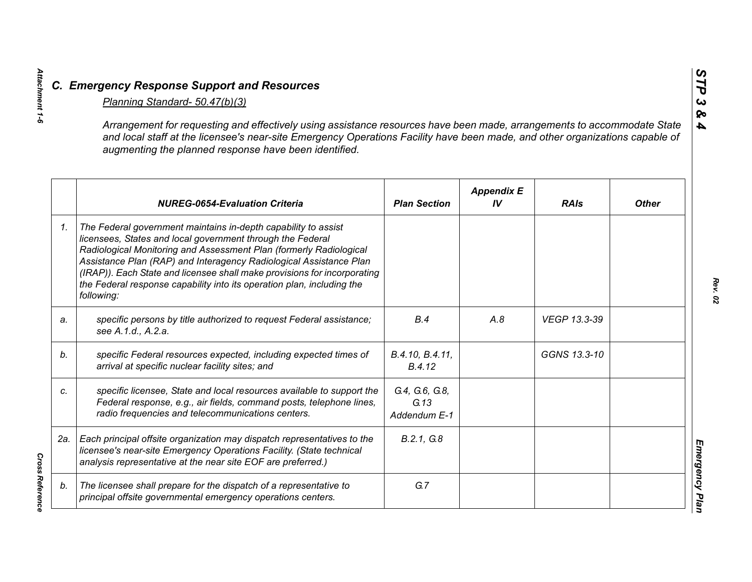|                | C. Emergency Response Support and Resources                                                                                                                                                                                                                                                                                                                                                                                                  |                                        |                         |              |                |
|----------------|----------------------------------------------------------------------------------------------------------------------------------------------------------------------------------------------------------------------------------------------------------------------------------------------------------------------------------------------------------------------------------------------------------------------------------------------|----------------------------------------|-------------------------|--------------|----------------|
|                | Planning Standard- 50.47(b)(3)                                                                                                                                                                                                                                                                                                                                                                                                               |                                        |                         |              |                |
|                | Arrangement for requesting and effectively using assistance resources have been made, arrangements to accommodate State<br>and local staff at the licensee's near-site Emergency Operations Facility have been made, and other organizations capable of<br>augmenting the planned response have been identified.                                                                                                                             |                                        |                         |              | Ջ<br>4         |
|                | <b>NUREG-0654-Evaluation Criteria</b>                                                                                                                                                                                                                                                                                                                                                                                                        | <b>Plan Section</b>                    | <b>Appendix E</b><br>IV | <b>RAIs</b>  | <b>Other</b>   |
| 1 <sub>1</sub> | The Federal government maintains in-depth capability to assist<br>licensees, States and local government through the Federal<br>Radiological Monitoring and Assessment Plan (formerly Radiological<br>Assistance Plan (RAP) and Interagency Radiological Assistance Plan<br>(IRAP)). Each State and licensee shall make provisions for incorporating<br>the Federal response capability into its operation plan, including the<br>following: |                                        |                         |              |                |
| a.             | specific persons by title authorized to request Federal assistance;<br>see A.1.d., A.2.a.                                                                                                                                                                                                                                                                                                                                                    | B.4                                    | A.8                     | VEGP 13.3-39 |                |
| b.             | specific Federal resources expected, including expected times of<br>arrival at specific nuclear facility sites; and                                                                                                                                                                                                                                                                                                                          | B.4.10, B.4.11,<br>B.4.12              |                         | GGNS 13.3-10 |                |
| c.             | specific licensee, State and local resources available to support the<br>Federal response, e.g., air fields, command posts, telephone lines,<br>radio frequencies and telecommunications centers.                                                                                                                                                                                                                                            | G.4, G.6, G.8,<br>G.13<br>Addendum E-1 |                         |              |                |
| 2a.            | Each principal offsite organization may dispatch representatives to the<br>licensee's near-site Emergency Operations Facility. (State technical<br>analysis representative at the near site EOF are preferred.)                                                                                                                                                                                                                              | B.2.1, G.8                             |                         |              |                |
| b.             | The licensee shall prepare for the dispatch of a representative to<br>principal offsite governmental emergency operations centers.                                                                                                                                                                                                                                                                                                           | G.7                                    |                         |              | Emergency Plan |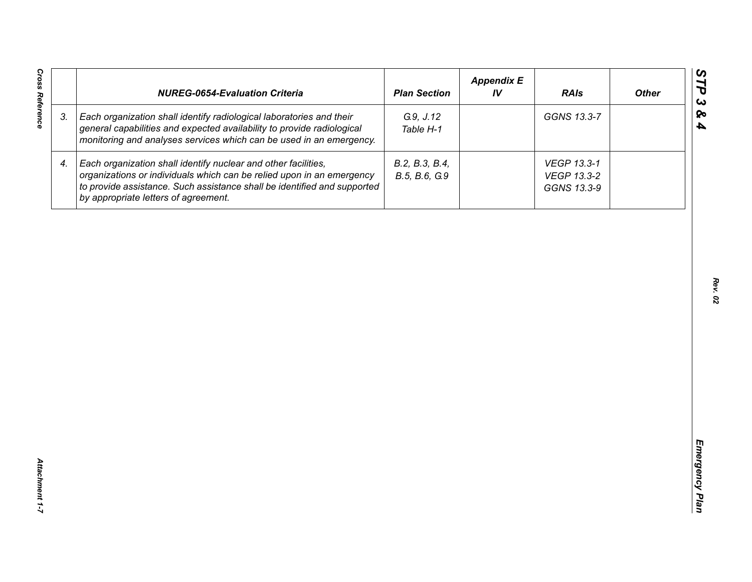|    | <b>NUREG-0654-Evaluation Criteria</b>                                                                                                                                                                                                                       | <b>Plan Section</b>             | <b>Appendix E</b><br>IV | <b>RAIs</b>                               | <b>Other</b> |
|----|-------------------------------------------------------------------------------------------------------------------------------------------------------------------------------------------------------------------------------------------------------------|---------------------------------|-------------------------|-------------------------------------------|--------------|
| 3. | Each organization shall identify radiological laboratories and their<br>general capabilities and expected availability to provide radiological<br>monitoring and analyses services which can be used in an emergency.                                       | G.9, J.12<br>Table H-1          |                         | GGNS 13.3-7                               |              |
| 4. | Each organization shall identify nuclear and other facilities,<br>organizations or individuals which can be relied upon in an emergency<br>to provide assistance. Such assistance shall be identified and supported<br>by appropriate letters of agreement. | B.2, B.3, B.4,<br>B.5, B.6, G.9 |                         | VEGP 13.3-1<br>VEGP 13.3-2<br>GGNS 13.3-9 |              |
|    |                                                                                                                                                                                                                                                             |                                 |                         |                                           |              |
|    |                                                                                                                                                                                                                                                             |                                 |                         |                                           |              |
|    |                                                                                                                                                                                                                                                             |                                 |                         |                                           |              |
|    |                                                                                                                                                                                                                                                             |                                 |                         |                                           |              |
|    |                                                                                                                                                                                                                                                             |                                 |                         |                                           |              |
|    |                                                                                                                                                                                                                                                             |                                 |                         |                                           |              |
|    |                                                                                                                                                                                                                                                             |                                 |                         |                                           |              |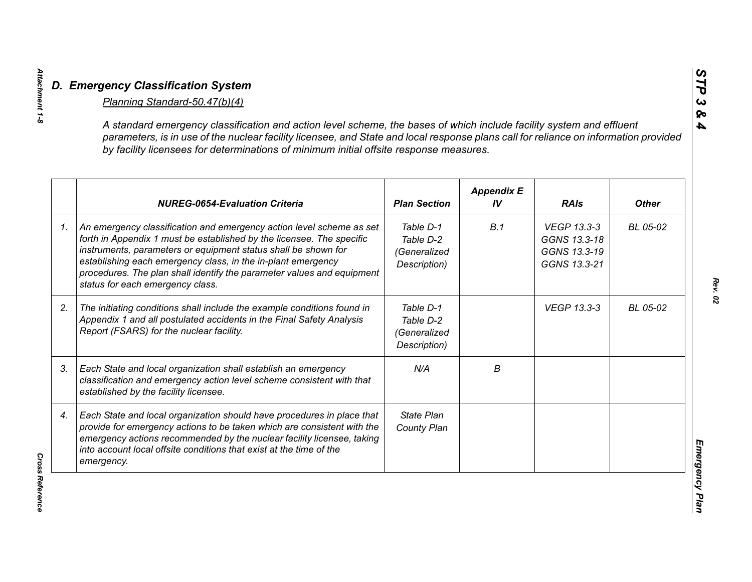| A standard emergency classification and action level scheme, the bases of which include facility system and effluent<br>parameters, is in use of the nuclear facility licensee, and State and local response plans call for reliance on information provided<br>by facility licensees for determinations of minimum initial offsite response measures.                                        |                                                        |                         |                                                             |              |
|-----------------------------------------------------------------------------------------------------------------------------------------------------------------------------------------------------------------------------------------------------------------------------------------------------------------------------------------------------------------------------------------------|--------------------------------------------------------|-------------------------|-------------------------------------------------------------|--------------|
| <b>NUREG-0654-Evaluation Criteria</b>                                                                                                                                                                                                                                                                                                                                                         | <b>Plan Section</b>                                    | <b>Appendix E</b><br>IV | <b>RAIs</b>                                                 | <b>Other</b> |
| An emergency classification and emergency action level scheme as set<br>forth in Appendix 1 must be established by the licensee. The specific<br>instruments, parameters or equipment status shall be shown for<br>establishing each emergency class, in the in-plant emergency<br>procedures. The plan shall identify the parameter values and equipment<br>status for each emergency class. | Table D-1<br>Table D-2<br>(Generalized<br>Description) | B.1                     | VEGP 13.3-3<br>GGNS 13.3-18<br>GGNS 13.3-19<br>GGNS 13.3-21 | BL 05-02     |
| The initiating conditions shall include the example conditions found in<br>Appendix 1 and all postulated accidents in the Final Safety Analysis<br>Report (FSARS) for the nuclear facility.                                                                                                                                                                                                   | Table D-1<br>Table D-2<br>(Generalized<br>Description) |                         | <b>VEGP 13.3-3</b>                                          | BL 05-02     |
| Each State and local organization shall establish an emergency<br>classification and emergency action level scheme consistent with that<br>established by the facility licensee.                                                                                                                                                                                                              | N/A                                                    | B                       |                                                             |              |
| Each State and local organization should have procedures in place that<br>provide for emergency actions to be taken which are consistent with the<br>emergency actions recommended by the nuclear facility licensee, taking<br>into account local offsite conditions that exist at the time of the<br>emergency.                                                                              | State Plan<br>County Plan                              |                         |                                                             |              |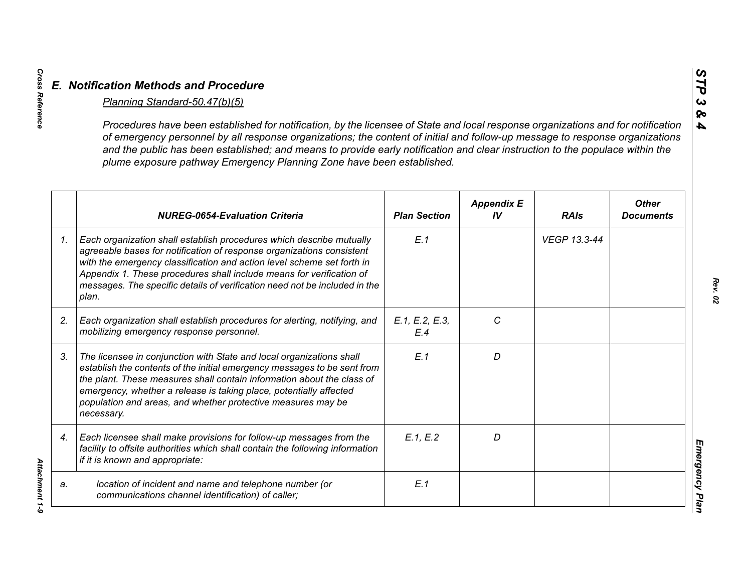|    | Procedures have been established for notification, by the licensee of State and local response organizations and for notification<br>of emergency personnel by all response organizations; the content of initial and follow-up message to response organizations<br>and the public has been established; and means to provide early notification and clear instruction to the populace within the<br>plume exposure pathway Emergency Planning Zone have been established. |                       |                         |              |                                  |
|----|-----------------------------------------------------------------------------------------------------------------------------------------------------------------------------------------------------------------------------------------------------------------------------------------------------------------------------------------------------------------------------------------------------------------------------------------------------------------------------|-----------------------|-------------------------|--------------|----------------------------------|
|    | <b>NUREG-0654-Evaluation Criteria</b>                                                                                                                                                                                                                                                                                                                                                                                                                                       | <b>Plan Section</b>   | <b>Appendix E</b><br>IV | <b>RAIs</b>  | <b>Other</b><br><b>Documents</b> |
| 1. | Each organization shall establish procedures which describe mutually<br>agreeable bases for notification of response organizations consistent<br>with the emergency classification and action level scheme set forth in<br>Appendix 1. These procedures shall include means for verification of<br>messages. The specific details of verification need not be included in the<br>plan.                                                                                      | E.1                   |                         | VEGP 13.3-44 |                                  |
| 2. | Each organization shall establish procedures for alerting, notifying, and<br>mobilizing emergency response personnel.                                                                                                                                                                                                                                                                                                                                                       | E.1, E.2, E.3,<br>E.4 | C                       |              |                                  |
| 3. | The licensee in conjunction with State and local organizations shall<br>establish the contents of the initial emergency messages to be sent from<br>the plant. These measures shall contain information about the class of<br>emergency, whether a release is taking place, potentially affected<br>population and areas, and whether protective measures may be<br>necessary.                                                                                              | E.1                   | D                       |              |                                  |
| 4. | Each licensee shall make provisions for follow-up messages from the<br>facility to offsite authorities which shall contain the following information<br>if it is known and appropriate:                                                                                                                                                                                                                                                                                     | E.1, E.2              | D                       |              |                                  |
| a. | location of incident and name and telephone number (or<br>communications channel identification) of caller;                                                                                                                                                                                                                                                                                                                                                                 | E.1                   |                         |              |                                  |

*Cross Reference Attachment 1-9* Attachment 1-9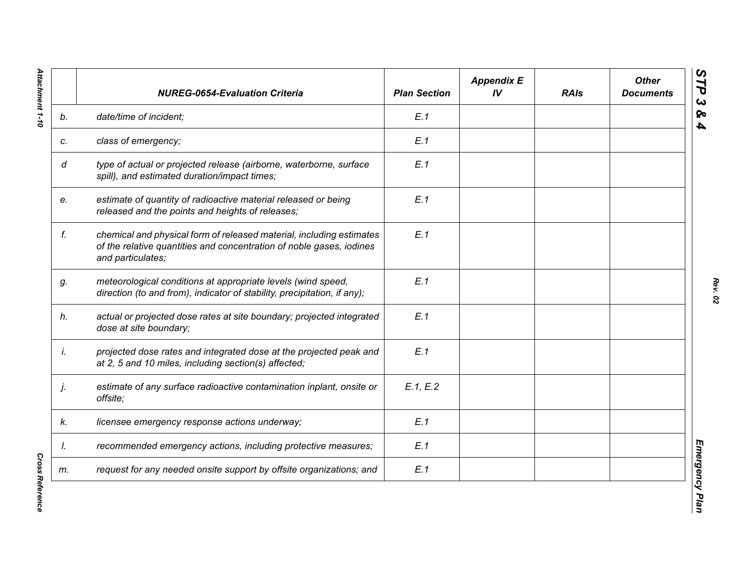|    | <b>NUREG-0654-Evaluation Criteria</b>                                                                                                                             | <b>Plan Section</b> | <b>Appendix E</b><br>IV | <b>RAIs</b> | <b>Other</b><br><b>Documents</b> |
|----|-------------------------------------------------------------------------------------------------------------------------------------------------------------------|---------------------|-------------------------|-------------|----------------------------------|
| b. | date/time of incident;                                                                                                                                            | E.1                 |                         |             |                                  |
| c. | class of emergency;                                                                                                                                               | E.1                 |                         |             |                                  |
| d  | type of actual or projected release (airborne, waterborne, surface<br>spill), and estimated duration/impact times;                                                | E.1                 |                         |             |                                  |
| e. | estimate of quantity of radioactive material released or being<br>released and the points and heights of releases;                                                | E.1                 |                         |             |                                  |
| f. | chemical and physical form of released material, including estimates<br>of the relative quantities and concentration of noble gases, iodines<br>and particulates; | E.1                 |                         |             |                                  |
| g. | meteorological conditions at appropriate levels (wind speed,<br>direction (to and from), indicator of stability, precipitation, if any);                          | E.1                 |                         |             |                                  |
| h. | actual or projected dose rates at site boundary; projected integrated<br>dose at site boundary;                                                                   | E.1                 |                         |             |                                  |
| İ. | projected dose rates and integrated dose at the projected peak and<br>at 2, 5 and 10 miles, including section(s) affected;                                        | E.1                 |                         |             |                                  |
| j. | estimate of any surface radioactive contamination inplant, onsite or<br>offsite;                                                                                  | E.1, E.2            |                         |             |                                  |
| k. | licensee emergency response actions underway;                                                                                                                     | E.1                 |                         |             |                                  |
| I. | recommended emergency actions, including protective measures;                                                                                                     | E.1                 |                         |             |                                  |
| m. | request for any needed onsite support by offsite organizations; and                                                                                               | E.1                 |                         |             |                                  |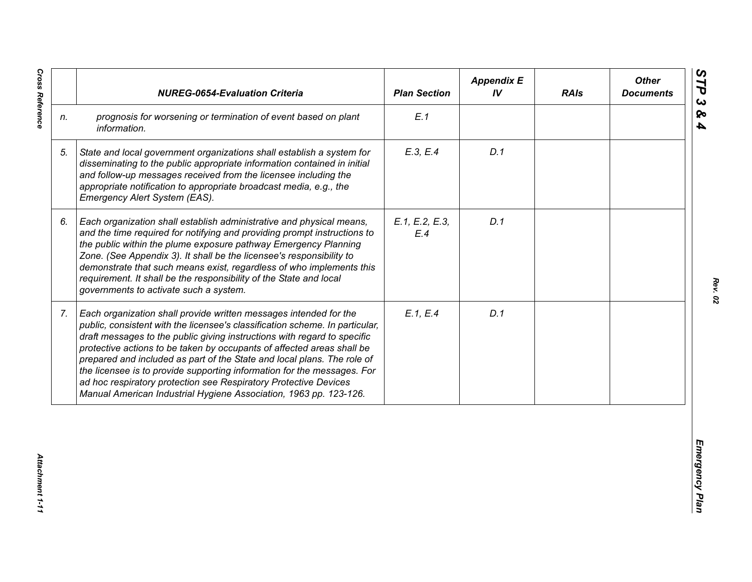|    | <b>NUREG-0654-Evaluation Criteria</b>                                                                                                                                                                                                                                                                                                                                                                                                                                                                                                                                                                  | <b>Plan Section</b>   | <b>Appendix E</b><br>IV | <b>RAIs</b> | <b>Other</b><br><b>Documents</b> |
|----|--------------------------------------------------------------------------------------------------------------------------------------------------------------------------------------------------------------------------------------------------------------------------------------------------------------------------------------------------------------------------------------------------------------------------------------------------------------------------------------------------------------------------------------------------------------------------------------------------------|-----------------------|-------------------------|-------------|----------------------------------|
| n. | prognosis for worsening or termination of event based on plant<br>information.                                                                                                                                                                                                                                                                                                                                                                                                                                                                                                                         | E.1                   |                         |             |                                  |
| 5. | State and local government organizations shall establish a system for<br>disseminating to the public appropriate information contained in initial<br>and follow-up messages received from the licensee including the<br>appropriate notification to appropriate broadcast media, e.g., the<br>Emergency Alert System (EAS).                                                                                                                                                                                                                                                                            | E.3, E.4              | D.1                     |             |                                  |
| 6. | Each organization shall establish administrative and physical means,<br>and the time required for notifying and providing prompt instructions to<br>the public within the plume exposure pathway Emergency Planning<br>Zone. (See Appendix 3). It shall be the licensee's responsibility to<br>demonstrate that such means exist, regardless of who implements this<br>requirement. It shall be the responsibility of the State and local<br>governments to activate such a system.                                                                                                                    | E.1, E.2, E.3,<br>E.4 | D.1                     |             |                                  |
| 7. | Each organization shall provide written messages intended for the<br>public, consistent with the licensee's classification scheme. In particular,<br>draft messages to the public giving instructions with regard to specific<br>protective actions to be taken by occupants of affected areas shall be<br>prepared and included as part of the State and local plans. The role of<br>the licensee is to provide supporting information for the messages. For<br>ad hoc respiratory protection see Respiratory Protective Devices<br>Manual American Industrial Hygiene Association, 1963 pp. 123-126. | E.1, E.4              | D.1                     |             |                                  |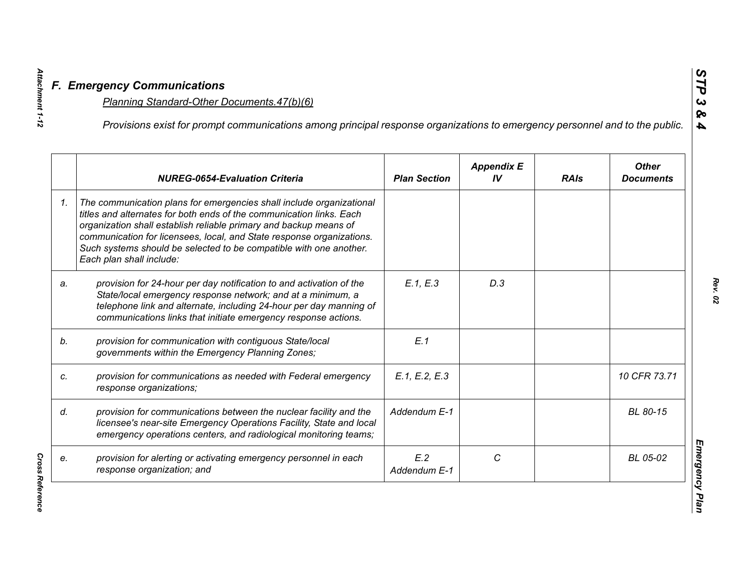|    | Provisions exist for prompt communications among principal response organizations to emergency personnel and to the public.                                                                                                                                                                                                                                                                  |                     |                         |             |                                  |
|----|----------------------------------------------------------------------------------------------------------------------------------------------------------------------------------------------------------------------------------------------------------------------------------------------------------------------------------------------------------------------------------------------|---------------------|-------------------------|-------------|----------------------------------|
|    | <b>NUREG-0654-Evaluation Criteria</b>                                                                                                                                                                                                                                                                                                                                                        | <b>Plan Section</b> | <b>Appendix E</b><br>IV | <b>RAIs</b> | <b>Other</b><br><b>Documents</b> |
| 1. | The communication plans for emergencies shall include organizational<br>titles and alternates for both ends of the communication links. Each<br>organization shall establish reliable primary and backup means of<br>communication for licensees, local, and State response organizations.<br>Such systems should be selected to be compatible with one another.<br>Each plan shall include: |                     |                         |             |                                  |
| a. | provision for 24-hour per day notification to and activation of the<br>State/local emergency response network; and at a minimum, a<br>telephone link and alternate, including 24-hour per day manning of<br>communications links that initiate emergency response actions.                                                                                                                   | E.1, E.3            | D.3                     |             |                                  |
|    | provision for communication with contiguous State/local<br>governments within the Emergency Planning Zones;                                                                                                                                                                                                                                                                                  | E.1                 |                         |             |                                  |
|    | provision for communications as needed with Federal emergency<br>response organizations;                                                                                                                                                                                                                                                                                                     | E.1, E.2, E.3       |                         |             | 10 CFR 73.71                     |
|    | provision for communications between the nuclear facility and the<br>licensee's near-site Emergency Operations Facility, State and local<br>emergency operations centers, and radiological monitoring teams;                                                                                                                                                                                 | Addendum E-1        |                         |             | BL 80-15                         |
|    | provision for alerting or activating emergency personnel in each<br>response organization; and                                                                                                                                                                                                                                                                                               | E.2<br>Addendum E-1 | C                       |             | BL 05-02                         |

**Cross Reference** *Cross Reference* 

*Attachment 1-12*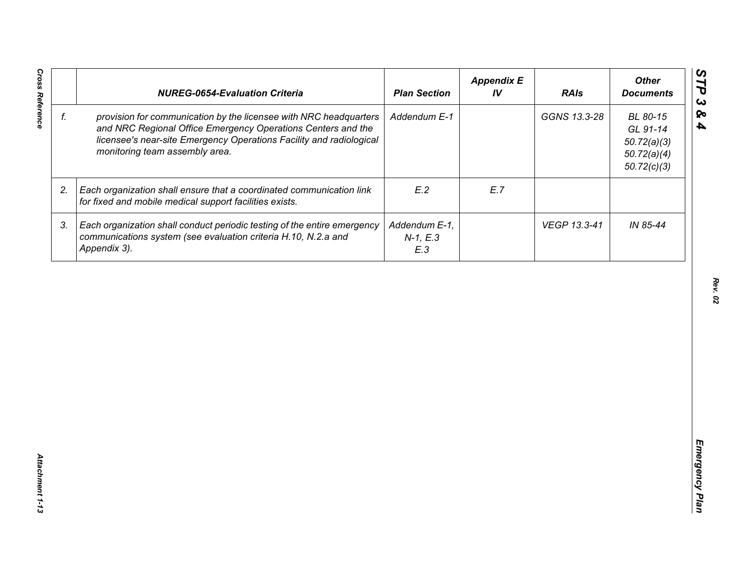| GGNS 13.3-28<br>f.<br>provision for communication by the licensee with NRC headquarters<br>Addendum E-1<br>BL 80-15<br>and NRC Regional Office Emergency Operations Centers and the<br>GL 91-14<br>licensee's near-site Emergency Operations Facility and radiological<br>50.72(a)(3)<br>monitoring team assembly area.<br>50.72(a)(4)<br>50.72(c)(3)<br>E.2<br>Each organization shall ensure that a coordinated communication link<br>E.7<br>2.<br>for fixed and mobile medical support facilities exists.<br>3.<br>Each organization shall conduct periodic testing of the entire emergency<br>Addendum E-1,<br>VEGP 13.3-41<br>IN 85-44<br>communications system (see evaluation criteria H.10, N.2.a and<br>$N-1, E.3$<br>Appendix 3).<br>E.3 | <b>NUREG-0654-Evaluation Criteria</b> | <b>Plan Section</b> | <b>Appendix E</b><br>IV | <b>RAIs</b> | <b>Other</b><br><b>Documents</b> |
|----------------------------------------------------------------------------------------------------------------------------------------------------------------------------------------------------------------------------------------------------------------------------------------------------------------------------------------------------------------------------------------------------------------------------------------------------------------------------------------------------------------------------------------------------------------------------------------------------------------------------------------------------------------------------------------------------------------------------------------------------|---------------------------------------|---------------------|-------------------------|-------------|----------------------------------|
|                                                                                                                                                                                                                                                                                                                                                                                                                                                                                                                                                                                                                                                                                                                                                    |                                       |                     |                         |             |                                  |
|                                                                                                                                                                                                                                                                                                                                                                                                                                                                                                                                                                                                                                                                                                                                                    |                                       |                     |                         |             |                                  |
|                                                                                                                                                                                                                                                                                                                                                                                                                                                                                                                                                                                                                                                                                                                                                    |                                       |                     |                         |             |                                  |
|                                                                                                                                                                                                                                                                                                                                                                                                                                                                                                                                                                                                                                                                                                                                                    |                                       |                     |                         |             |                                  |
|                                                                                                                                                                                                                                                                                                                                                                                                                                                                                                                                                                                                                                                                                                                                                    |                                       |                     |                         |             |                                  |
|                                                                                                                                                                                                                                                                                                                                                                                                                                                                                                                                                                                                                                                                                                                                                    |                                       |                     |                         |             |                                  |
|                                                                                                                                                                                                                                                                                                                                                                                                                                                                                                                                                                                                                                                                                                                                                    |                                       |                     |                         |             |                                  |
|                                                                                                                                                                                                                                                                                                                                                                                                                                                                                                                                                                                                                                                                                                                                                    |                                       |                     |                         |             |                                  |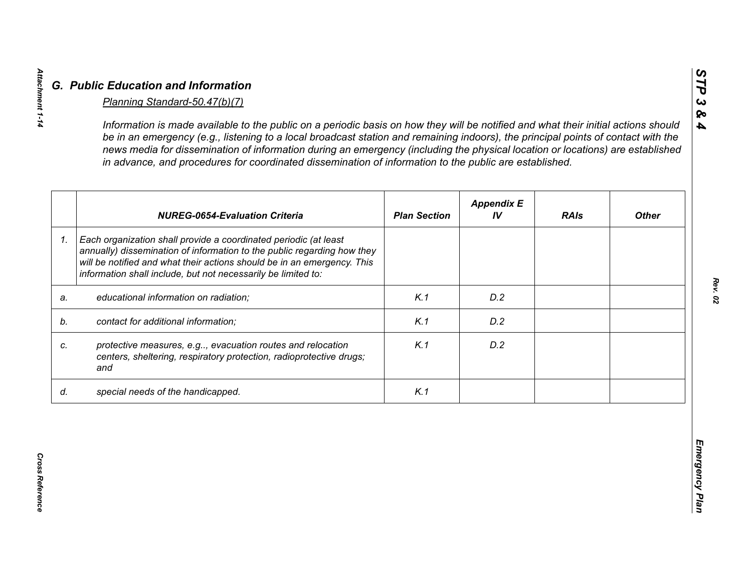|    | <b>NUREG-0654-Evaluation Criteria</b>                                                                                                                                                                                                                                                   | <b>Plan Section</b> | <b>Appendix E</b><br>IV | <b>RAIs</b> | <b>Other</b> |
|----|-----------------------------------------------------------------------------------------------------------------------------------------------------------------------------------------------------------------------------------------------------------------------------------------|---------------------|-------------------------|-------------|--------------|
| 1. | Each organization shall provide a coordinated periodic (at least<br>annually) dissemination of information to the public regarding how they<br>will be notified and what their actions should be in an emergency. This<br>information shall include, but not necessarily be limited to: |                     |                         |             |              |
| a. | educational information on radiation;                                                                                                                                                                                                                                                   | K.1                 | D.2                     |             |              |
| b. | contact for additional information;                                                                                                                                                                                                                                                     | K.1                 | D.2                     |             |              |
| c. | protective measures, e.g, evacuation routes and relocation<br>centers, sheltering, respiratory protection, radioprotective drugs;<br>and                                                                                                                                                | K.1                 | D.2                     |             |              |
| d. | special needs of the handicapped.                                                                                                                                                                                                                                                       | K.1                 |                         |             |              |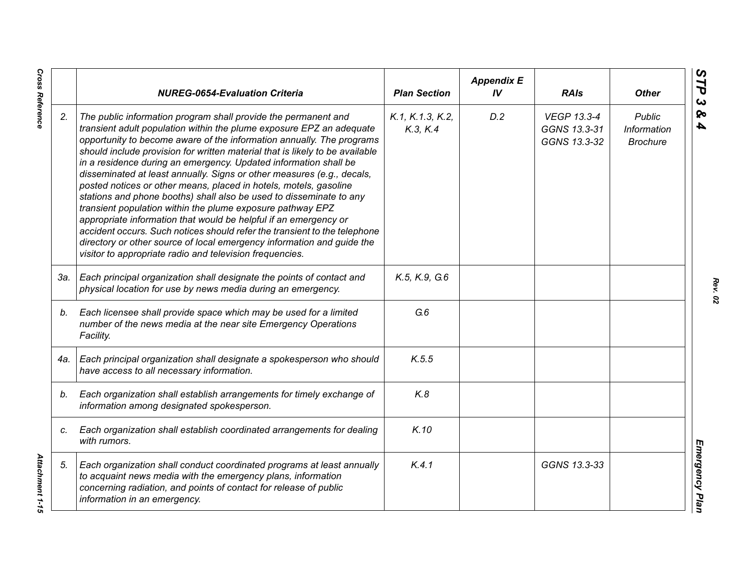|     | <b>NUREG-0654-Evaluation Criteria</b>                                                                                                                                                                                                                                                                                                                                                                                                                                                                                                                                                                                                                                                                                                                                                                                                                                                                                                          | <b>Plan Section</b>          | <b>Appendix E</b><br>IV | <b>RAIs</b>                                        | <b>Other</b>                                    |
|-----|------------------------------------------------------------------------------------------------------------------------------------------------------------------------------------------------------------------------------------------------------------------------------------------------------------------------------------------------------------------------------------------------------------------------------------------------------------------------------------------------------------------------------------------------------------------------------------------------------------------------------------------------------------------------------------------------------------------------------------------------------------------------------------------------------------------------------------------------------------------------------------------------------------------------------------------------|------------------------------|-------------------------|----------------------------------------------------|-------------------------------------------------|
| 2.  | The public information program shall provide the permanent and<br>transient adult population within the plume exposure EPZ an adequate<br>opportunity to become aware of the information annually. The programs<br>should include provision for written material that is likely to be available<br>in a residence during an emergency. Updated information shall be<br>disseminated at least annually. Signs or other measures (e.g., decals,<br>posted notices or other means, placed in hotels, motels, gasoline<br>stations and phone booths) shall also be used to disseminate to any<br>transient population within the plume exposure pathway EPZ<br>appropriate information that would be helpful if an emergency or<br>accident occurs. Such notices should refer the transient to the telephone<br>directory or other source of local emergency information and guide the<br>visitor to appropriate radio and television frequencies. | K.1, K.1.3, K.2,<br>K.3, K.4 | D.2                     | <b>VEGP 13.3-4</b><br>GGNS 13.3-31<br>GGNS 13.3-32 | <b>Public</b><br>Information<br><b>Brochure</b> |
| 3а. | Each principal organization shall designate the points of contact and<br>physical location for use by news media during an emergency.                                                                                                                                                                                                                                                                                                                                                                                                                                                                                                                                                                                                                                                                                                                                                                                                          | K.5, K.9, G.6                |                         |                                                    |                                                 |
| b.  | Each licensee shall provide space which may be used for a limited<br>number of the news media at the near site Emergency Operations<br>Facility.                                                                                                                                                                                                                                                                                                                                                                                                                                                                                                                                                                                                                                                                                                                                                                                               | G.6                          |                         |                                                    |                                                 |
| 4a. | Each principal organization shall designate a spokesperson who should<br>have access to all necessary information.                                                                                                                                                                                                                                                                                                                                                                                                                                                                                                                                                                                                                                                                                                                                                                                                                             | K.5.5                        |                         |                                                    |                                                 |
| b.  | Each organization shall establish arrangements for timely exchange of<br>information among designated spokesperson.                                                                                                                                                                                                                                                                                                                                                                                                                                                                                                                                                                                                                                                                                                                                                                                                                            | K.8                          |                         |                                                    |                                                 |
| C.  | Each organization shall establish coordinated arrangements for dealing<br>with rumors.                                                                                                                                                                                                                                                                                                                                                                                                                                                                                                                                                                                                                                                                                                                                                                                                                                                         | K.10                         |                         |                                                    |                                                 |
| 5.  | Each organization shall conduct coordinated programs at least annually<br>to acquaint news media with the emergency plans, information<br>concerning radiation, and points of contact for release of public<br>information in an emergency.                                                                                                                                                                                                                                                                                                                                                                                                                                                                                                                                                                                                                                                                                                    | K.4.1                        |                         | GGNS 13.3-33                                       |                                                 |

*Rev. 02*

**Cross Reference** *Cross Reference Attachment 1-15*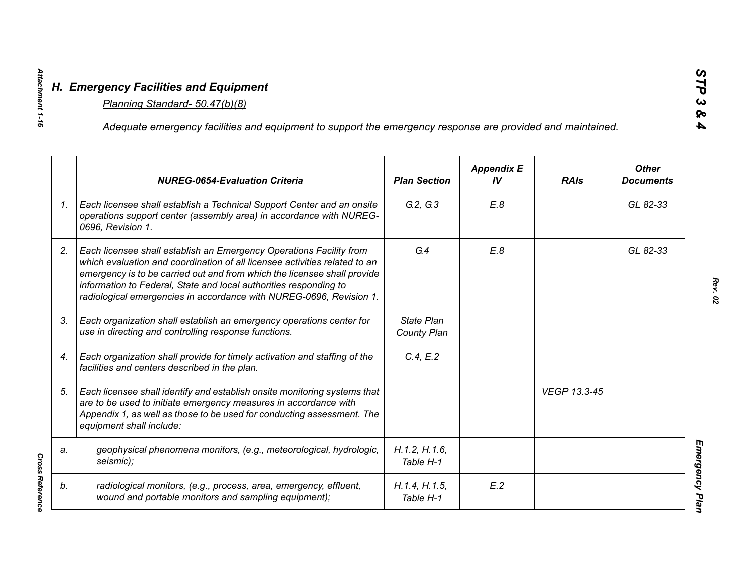|                 | Adequate emergency facilities and equipment to support the emergency response are provided and maintained.                                                                                                                                                                                                                                                                |                                  |                         |              |                                  |
|-----------------|---------------------------------------------------------------------------------------------------------------------------------------------------------------------------------------------------------------------------------------------------------------------------------------------------------------------------------------------------------------------------|----------------------------------|-------------------------|--------------|----------------------------------|
|                 | <b>NUREG-0654-Evaluation Criteria</b>                                                                                                                                                                                                                                                                                                                                     | <b>Plan Section</b>              | <b>Appendix E</b><br>IV | <b>RAIs</b>  | <b>Other</b><br><b>Documents</b> |
| $\mathcal{I}$ . | Each licensee shall establish a Technical Support Center and an onsite<br>operations support center (assembly area) in accordance with NUREG-<br>0696, Revision 1.                                                                                                                                                                                                        | G.2, G.3                         | E.8                     |              | GL 82-33                         |
| 2.              | Each licensee shall establish an Emergency Operations Facility from<br>which evaluation and coordination of all licensee activities related to an<br>emergency is to be carried out and from which the licensee shall provide<br>information to Federal, State and local authorities responding to<br>radiological emergencies in accordance with NUREG-0696, Revision 1. | G.4                              | E.8                     |              | GL 82-33                         |
| 3.              | Each organization shall establish an emergency operations center for<br>use in directing and controlling response functions.                                                                                                                                                                                                                                              | <b>State Plan</b><br>County Plan |                         |              |                                  |
| 4.              | Each organization shall provide for timely activation and staffing of the<br>facilities and centers described in the plan.                                                                                                                                                                                                                                                | C.4, E.2                         |                         |              |                                  |
| 5.              | Each licensee shall identify and establish onsite monitoring systems that<br>are to be used to initiate emergency measures in accordance with<br>Appendix 1, as well as those to be used for conducting assessment. The<br>equipment shall include:                                                                                                                       |                                  |                         | VEGP 13.3-45 |                                  |
| a.              | geophysical phenomena monitors, (e.g., meteorological, hydrologic,<br>seismic);                                                                                                                                                                                                                                                                                           | H.1.2, H.1.6,<br>Table H-1       |                         |              |                                  |
| b.              | radiological monitors, (e.g., process, area, emergency, effluent,<br>wound and portable monitors and sampling equipment);                                                                                                                                                                                                                                                 | H.1.4, H.1.5,<br>Table H-1       | E.2                     |              |                                  |

*Attachment 1-16*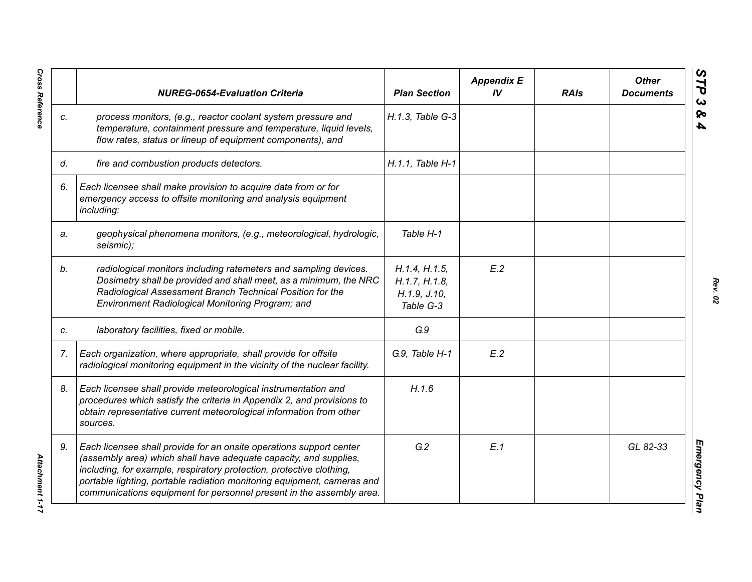|    | <b>NUREG-0654-Evaluation Criteria</b>                                                                                                                                                                                                                                                                                                                               | <b>Plan Section</b>                                           | <b>Appendix E</b><br>IV <sub></sub> | <b>RAIs</b> | <b>Other</b><br><b>Documents</b> |
|----|---------------------------------------------------------------------------------------------------------------------------------------------------------------------------------------------------------------------------------------------------------------------------------------------------------------------------------------------------------------------|---------------------------------------------------------------|-------------------------------------|-------------|----------------------------------|
| C. | process monitors, (e.g., reactor coolant system pressure and<br>temperature, containment pressure and temperature, liquid levels,<br>flow rates, status or lineup of equipment components), and                                                                                                                                                                     | H.1.3, Table G-3                                              |                                     |             |                                  |
| d. | fire and combustion products detectors.                                                                                                                                                                                                                                                                                                                             | H.1.1, Table H-1                                              |                                     |             |                                  |
| 6. | Each licensee shall make provision to acquire data from or for<br>emergency access to offsite monitoring and analysis equipment<br>including:                                                                                                                                                                                                                       |                                                               |                                     |             |                                  |
| a. | geophysical phenomena monitors, (e.g., meteorological, hydrologic,<br>seismic);                                                                                                                                                                                                                                                                                     | Table H-1                                                     |                                     |             |                                  |
| b. | radiological monitors including ratemeters and sampling devices.<br>Dosimetry shall be provided and shall meet, as a minimum, the NRC<br>Radiological Assessment Branch Technical Position for the<br>Environment Radiological Monitoring Program; and                                                                                                              | H.1.4, H.1.5,<br>H.1.7, H.1.8,<br>H. 1.9, J. 10,<br>Table G-3 | E.2                                 |             |                                  |
| C. | laboratory facilities, fixed or mobile.                                                                                                                                                                                                                                                                                                                             | G.9                                                           |                                     |             |                                  |
| 7. | Each organization, where appropriate, shall provide for offsite<br>radiological monitoring equipment in the vicinity of the nuclear facility.                                                                                                                                                                                                                       | G.9, Table H-1                                                | E.2                                 |             |                                  |
| 8. | Each licensee shall provide meteorological instrumentation and<br>procedures which satisfy the criteria in Appendix 2, and provisions to<br>obtain representative current meteorological information from other<br>sources.                                                                                                                                         | H.1.6                                                         |                                     |             |                                  |
| 9. | Each licensee shall provide for an onsite operations support center<br>(assembly area) which shall have adequate capacity, and supplies,<br>including, for example, respiratory protection, protective clothing,<br>portable lighting, portable radiation monitoring equipment, cameras and<br>communications equipment for personnel present in the assembly area. | G.2                                                           | E.1                                 |             | GL 82-33                         |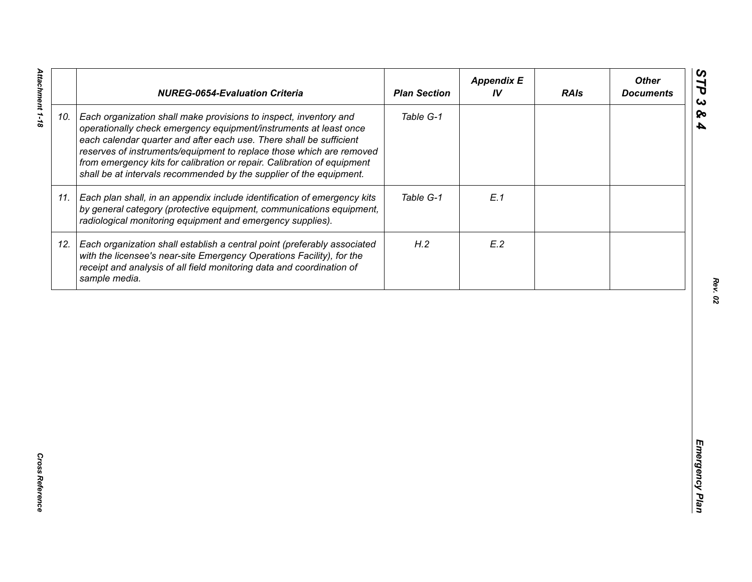|     | <b>NUREG-0654-Evaluation Criteria</b>                                                                                                                                                                                                                                                                                                                                                                                                   | <b>Plan Section</b> | <b>Appendix E</b><br>IV | <b>RAIs</b> | <b>Other</b><br><b>Documents</b> |
|-----|-----------------------------------------------------------------------------------------------------------------------------------------------------------------------------------------------------------------------------------------------------------------------------------------------------------------------------------------------------------------------------------------------------------------------------------------|---------------------|-------------------------|-------------|----------------------------------|
| 10. | Each organization shall make provisions to inspect, inventory and<br>operationally check emergency equipment/instruments at least once<br>each calendar quarter and after each use. There shall be sufficient<br>reserves of instruments/equipment to replace those which are removed<br>from emergency kits for calibration or repair. Calibration of equipment<br>shall be at intervals recommended by the supplier of the equipment. | Table G-1           |                         |             |                                  |
| 11. | Each plan shall, in an appendix include identification of emergency kits<br>by general category (protective equipment, communications equipment,<br>radiological monitoring equipment and emergency supplies).                                                                                                                                                                                                                          | Table G-1           | E.1                     |             |                                  |
| 12. | Each organization shall establish a central point (preferably associated<br>with the licensee's near-site Emergency Operations Facility), for the<br>receipt and analysis of all field monitoring data and coordination of<br>sample media.                                                                                                                                                                                             | H.2                 | E.2                     |             |                                  |
|     |                                                                                                                                                                                                                                                                                                                                                                                                                                         |                     |                         |             |                                  |
|     |                                                                                                                                                                                                                                                                                                                                                                                                                                         |                     |                         |             |                                  |
|     |                                                                                                                                                                                                                                                                                                                                                                                                                                         |                     |                         |             |                                  |
|     |                                                                                                                                                                                                                                                                                                                                                                                                                                         |                     |                         |             |                                  |
|     |                                                                                                                                                                                                                                                                                                                                                                                                                                         |                     |                         |             |                                  |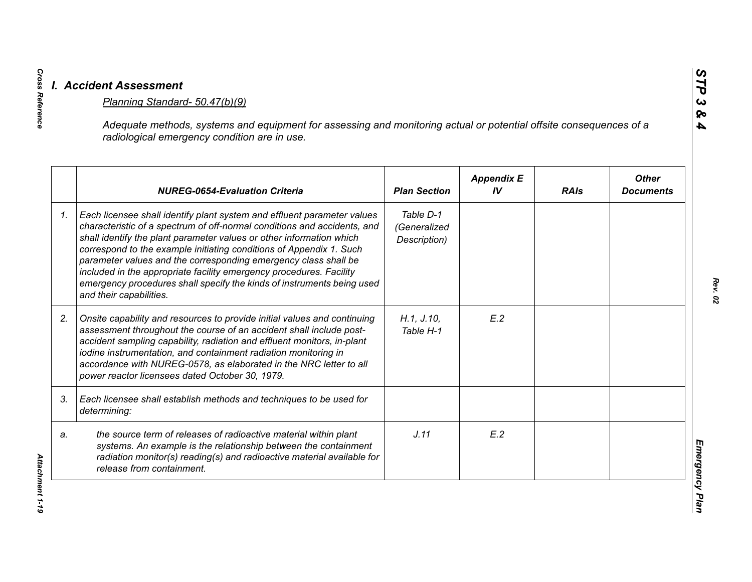|    |                                                                                                                                                                                                                                                                                                                                                                                                                                                                                                                                                   |                                           | <b>Appendix E</b> |             | <b>Other</b>     |
|----|---------------------------------------------------------------------------------------------------------------------------------------------------------------------------------------------------------------------------------------------------------------------------------------------------------------------------------------------------------------------------------------------------------------------------------------------------------------------------------------------------------------------------------------------------|-------------------------------------------|-------------------|-------------|------------------|
|    | <b>NUREG-0654-Evaluation Criteria</b>                                                                                                                                                                                                                                                                                                                                                                                                                                                                                                             | <b>Plan Section</b>                       | IV                | <b>RAIs</b> | <b>Documents</b> |
| 1. | Each licensee shall identify plant system and effluent parameter values<br>characteristic of a spectrum of off-normal conditions and accidents, and<br>shall identify the plant parameter values or other information which<br>correspond to the example initiating conditions of Appendix 1. Such<br>parameter values and the corresponding emergency class shall be<br>included in the appropriate facility emergency procedures. Facility<br>emergency procedures shall specify the kinds of instruments being used<br>and their capabilities. | Table D-1<br>(Generalized<br>Description) |                   |             |                  |
| 2. | Onsite capability and resources to provide initial values and continuing<br>assessment throughout the course of an accident shall include post-<br>accident sampling capability, radiation and effluent monitors, in-plant<br>iodine instrumentation, and containment radiation monitoring in<br>accordance with NUREG-0578, as elaborated in the NRC letter to all<br>power reactor licensees dated October 30, 1979.                                                                                                                            | H.1, J.10,<br>Table H-1                   | E.2               |             |                  |
| 3. | Each licensee shall establish methods and techniques to be used for<br>determining:                                                                                                                                                                                                                                                                                                                                                                                                                                                               |                                           |                   |             |                  |
| a. | the source term of releases of radioactive material within plant<br>systems. An example is the relationship between the containment<br>radiation monitor(s) reading(s) and radioactive material available for<br>release from containment.                                                                                                                                                                                                                                                                                                        | J.11                                      | E.2               |             |                  |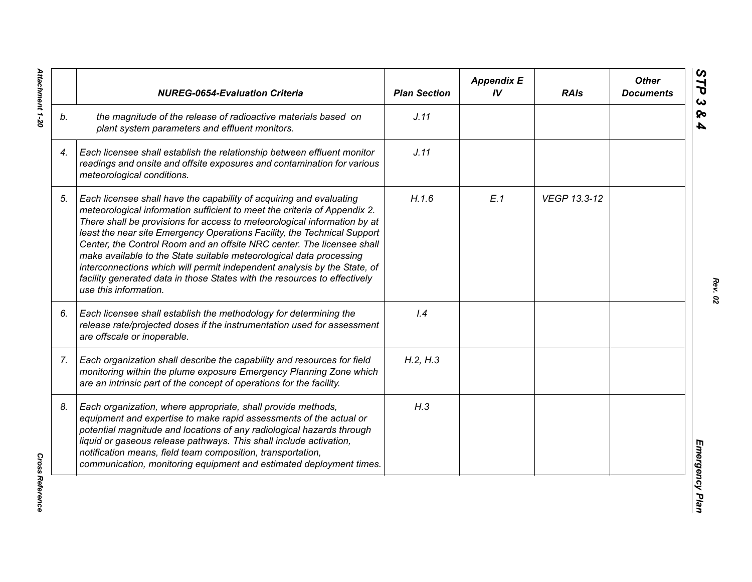|    | <b>NUREG-0654-Evaluation Criteria</b>                                                                                                                                                                                                                                                                                                                                                                                                                                                                                                                                                                                                       | <b>Plan Section</b> | <b>Appendix E</b><br>IV | <b>RAIs</b>  | <b>Other</b><br><b>Documents</b> |
|----|---------------------------------------------------------------------------------------------------------------------------------------------------------------------------------------------------------------------------------------------------------------------------------------------------------------------------------------------------------------------------------------------------------------------------------------------------------------------------------------------------------------------------------------------------------------------------------------------------------------------------------------------|---------------------|-------------------------|--------------|----------------------------------|
| b. | the magnitude of the release of radioactive materials based on<br>plant system parameters and effluent monitors.                                                                                                                                                                                                                                                                                                                                                                                                                                                                                                                            | J.11                |                         |              |                                  |
| 4. | Each licensee shall establish the relationship between effluent monitor<br>readings and onsite and offsite exposures and contamination for various<br>meteorological conditions.                                                                                                                                                                                                                                                                                                                                                                                                                                                            | J.11                |                         |              |                                  |
| 5. | Each licensee shall have the capability of acquiring and evaluating<br>meteorological information sufficient to meet the criteria of Appendix 2.<br>There shall be provisions for access to meteorological information by at<br>least the near site Emergency Operations Facility, the Technical Support<br>Center, the Control Room and an offsite NRC center. The licensee shall<br>make available to the State suitable meteorological data processing<br>interconnections which will permit independent analysis by the State, of<br>facility generated data in those States with the resources to effectively<br>use this information. | H.1.6               | E.1                     | VEGP 13.3-12 |                                  |
| 6. | Each licensee shall establish the methodology for determining the<br>release rate/projected doses if the instrumentation used for assessment<br>are offscale or inoperable.                                                                                                                                                                                                                                                                                                                                                                                                                                                                 | 1.4                 |                         |              |                                  |
| 7. | Each organization shall describe the capability and resources for field<br>monitoring within the plume exposure Emergency Planning Zone which<br>are an intrinsic part of the concept of operations for the facility.                                                                                                                                                                                                                                                                                                                                                                                                                       | H.2, H.3            |                         |              |                                  |
| 8. | Each organization, where appropriate, shall provide methods,<br>equipment and expertise to make rapid assessments of the actual or<br>potential magnitude and locations of any radiological hazards through<br>liquid or gaseous release pathways. This shall include activation,<br>notification means, field team composition, transportation,<br>communication, monitoring equipment and estimated deployment times.                                                                                                                                                                                                                     | H.3                 |                         |              |                                  |

Attachment 1-20 *Attachment 1-20*

**Cross Reference** *Cross Reference*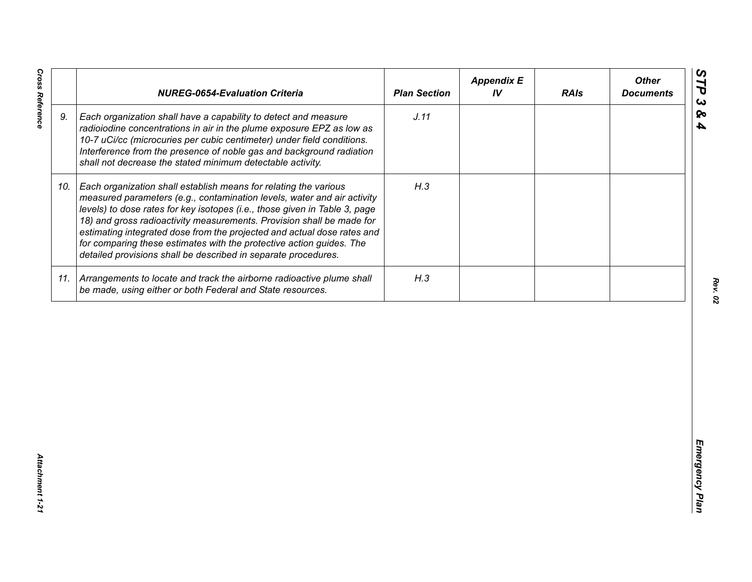| J.11<br>9.<br>Each organization shall have a capability to detect and measure<br>radioiodine concentrations in air in the plume exposure EPZ as low as<br>10-7 uCi/cc (microcuries per cubic centimeter) under field conditions.<br>Interference from the presence of noble gas and background radiation<br>shall not decrease the stated minimum detectable activity.<br>H.3<br>Each organization shall establish means for relating the various<br>10.<br>measured parameters (e.g., contamination levels, water and air activity<br>levels) to dose rates for key isotopes (i.e., those given in Table 3, page<br>18) and gross radioactivity measurements. Provision shall be made for<br>estimating integrated dose from the projected and actual dose rates and<br>for comparing these estimates with the protective action guides. The<br>detailed provisions shall be described in separate procedures. | 11. Arrangements to locate and track the airborne radioactive plume shall<br>H.3<br>be made, using either or both Federal and State resources. | <b>NUREG-0654-Evaluation Criteria</b> | <b>Plan Section</b> | <b>Appendix E</b><br>IV | <b>RAIs</b> | <b>Other</b><br><b>Documents</b> |
|-----------------------------------------------------------------------------------------------------------------------------------------------------------------------------------------------------------------------------------------------------------------------------------------------------------------------------------------------------------------------------------------------------------------------------------------------------------------------------------------------------------------------------------------------------------------------------------------------------------------------------------------------------------------------------------------------------------------------------------------------------------------------------------------------------------------------------------------------------------------------------------------------------------------|------------------------------------------------------------------------------------------------------------------------------------------------|---------------------------------------|---------------------|-------------------------|-------------|----------------------------------|
|                                                                                                                                                                                                                                                                                                                                                                                                                                                                                                                                                                                                                                                                                                                                                                                                                                                                                                                 |                                                                                                                                                |                                       |                     |                         |             |                                  |
|                                                                                                                                                                                                                                                                                                                                                                                                                                                                                                                                                                                                                                                                                                                                                                                                                                                                                                                 |                                                                                                                                                |                                       |                     |                         |             |                                  |
|                                                                                                                                                                                                                                                                                                                                                                                                                                                                                                                                                                                                                                                                                                                                                                                                                                                                                                                 |                                                                                                                                                |                                       |                     |                         |             |                                  |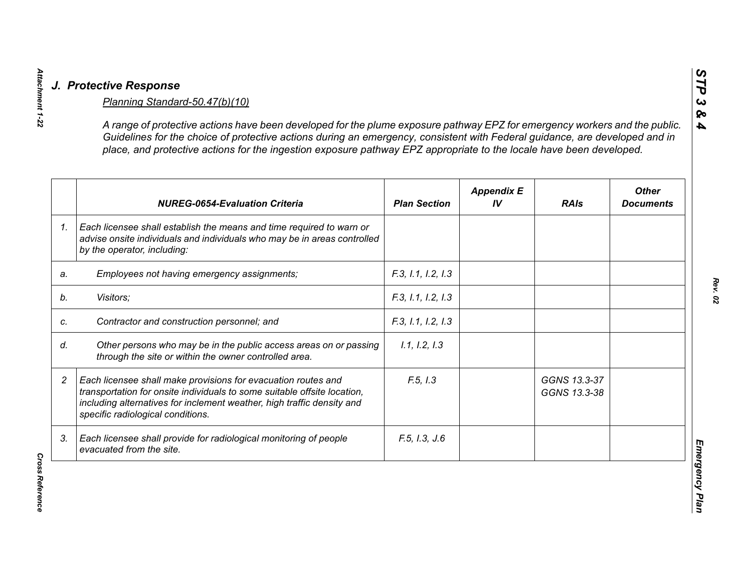| Guidelines for the choice of protective actions during an emergency, consistent with Federal guidance, are developed and in<br>place, and protective actions for the ingestion exposure pathway EPZ appropriate to the locale have been developed.       |                     |                         |                              |                                  |
|----------------------------------------------------------------------------------------------------------------------------------------------------------------------------------------------------------------------------------------------------------|---------------------|-------------------------|------------------------------|----------------------------------|
| <b>NUREG-0654-Evaluation Criteria</b>                                                                                                                                                                                                                    | <b>Plan Section</b> | <b>Appendix E</b><br>IV | <b>RAIs</b>                  | <b>Other</b><br><b>Documents</b> |
| Each licensee shall establish the means and time required to warn or<br>advise onsite individuals and individuals who may be in areas controlled<br>by the operator, including:                                                                          |                     |                         |                              |                                  |
| Employees not having emergency assignments;                                                                                                                                                                                                              | F.3, I.1, I.2, I.3  |                         |                              |                                  |
| Visitors;                                                                                                                                                                                                                                                | F.3, 1.1, 1.2, 1.3  |                         |                              |                                  |
| Contractor and construction personnel; and                                                                                                                                                                                                               | F.3, I.1, I.2, I.3  |                         |                              |                                  |
| Other persons who may be in the public access areas on or passing<br>through the site or within the owner controlled area.                                                                                                                               | 1.1, 1.2, 1.3       |                         |                              |                                  |
| Each licensee shall make provisions for evacuation routes and<br>transportation for onsite individuals to some suitable offsite location,<br>including alternatives for inclement weather, high traffic density and<br>specific radiological conditions. | F.5, 1.3            |                         | GGNS 13.3-37<br>GGNS 13.3-38 |                                  |
| Each licensee shall provide for radiological monitoring of people<br>evacuated from the site.                                                                                                                                                            | F.5, 1.3, J.6       |                         |                              |                                  |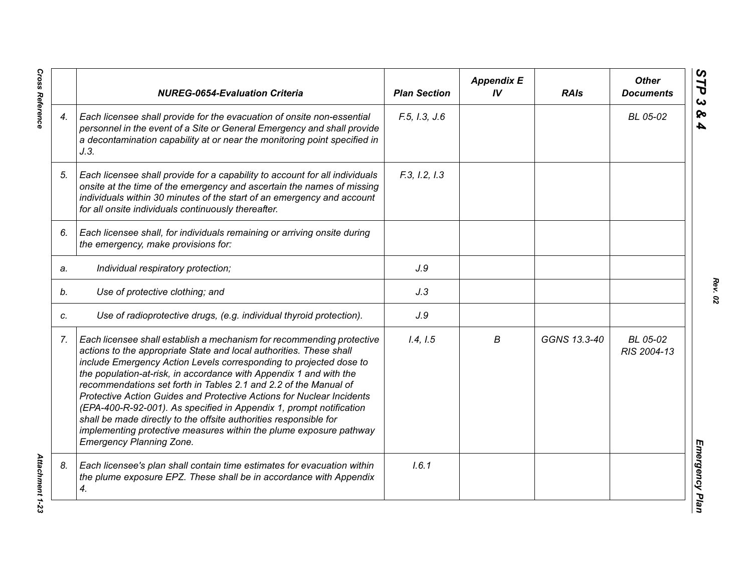|    | <b>NUREG-0654-Evaluation Criteria</b>                                                                                                                                                                                                                                                                                                                                                                                                                                                                                                                                                                                                                                                      | <b>Plan Section</b> | <b>Appendix E</b><br>IV | <b>RAIs</b>  | <b>Other</b><br><b>Documents</b> |
|----|--------------------------------------------------------------------------------------------------------------------------------------------------------------------------------------------------------------------------------------------------------------------------------------------------------------------------------------------------------------------------------------------------------------------------------------------------------------------------------------------------------------------------------------------------------------------------------------------------------------------------------------------------------------------------------------------|---------------------|-------------------------|--------------|----------------------------------|
| 4. | Each licensee shall provide for the evacuation of onsite non-essential<br>personnel in the event of a Site or General Emergency and shall provide<br>a decontamination capability at or near the monitoring point specified in<br>J.3.                                                                                                                                                                                                                                                                                                                                                                                                                                                     | F.5, I.3, J.6       |                         |              | BL 05-02                         |
| 5. | Each licensee shall provide for a capability to account for all individuals<br>onsite at the time of the emergency and ascertain the names of missing<br>individuals within 30 minutes of the start of an emergency and account<br>for all onsite individuals continuously thereafter.                                                                                                                                                                                                                                                                                                                                                                                                     | F.3, I.2, I.3       |                         |              |                                  |
| 6. | Each licensee shall, for individuals remaining or arriving onsite during<br>the emergency, make provisions for:                                                                                                                                                                                                                                                                                                                                                                                                                                                                                                                                                                            |                     |                         |              |                                  |
| a. | Individual respiratory protection;                                                                                                                                                                                                                                                                                                                                                                                                                                                                                                                                                                                                                                                         | J.9                 |                         |              |                                  |
| b. | Use of protective clothing; and                                                                                                                                                                                                                                                                                                                                                                                                                                                                                                                                                                                                                                                            | J.3                 |                         |              |                                  |
| C. | Use of radioprotective drugs, (e.g. individual thyroid protection).                                                                                                                                                                                                                                                                                                                                                                                                                                                                                                                                                                                                                        | J.9                 |                         |              |                                  |
| 7. | Each licensee shall establish a mechanism for recommending protective<br>actions to the appropriate State and local authorities. These shall<br>include Emergency Action Levels corresponding to projected dose to<br>the population-at-risk, in accordance with Appendix 1 and with the<br>recommendations set forth in Tables 2.1 and 2.2 of the Manual of<br>Protective Action Guides and Protective Actions for Nuclear Incidents<br>(EPA-400-R-92-001). As specified in Appendix 1, prompt notification<br>shall be made directly to the offsite authorities responsible for<br>implementing protective measures within the plume exposure pathway<br><b>Emergency Planning Zone.</b> | 1.4, 1.5            | В                       | GGNS 13.3-40 | BL 05-02<br>RIS 2004-13          |
| 8. | Each licensee's plan shall contain time estimates for evacuation within<br>the plume exposure EPZ. These shall be in accordance with Appendix<br>4.                                                                                                                                                                                                                                                                                                                                                                                                                                                                                                                                        | 1.6.1               |                         |              |                                  |

*Rev. 02*

*Cross Reference Attachment 1-23* **Attachment 1-23**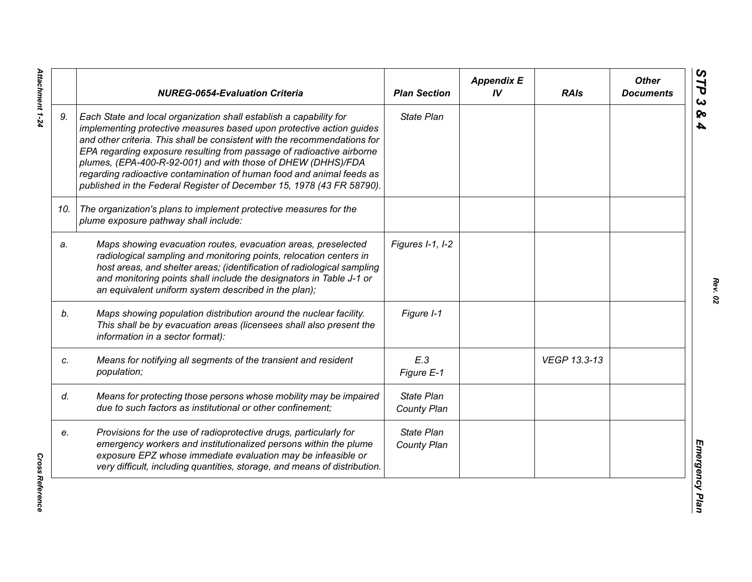|     | <b>NUREG-0654-Evaluation Criteria</b>                                                                                                                                                                                                                                                                                                                                                                                                                                                                              | <b>Plan Section</b>              | <b>Appendix E</b><br>IV | <b>RAIs</b>  | <b>Other</b><br><b>Documents</b> |
|-----|--------------------------------------------------------------------------------------------------------------------------------------------------------------------------------------------------------------------------------------------------------------------------------------------------------------------------------------------------------------------------------------------------------------------------------------------------------------------------------------------------------------------|----------------------------------|-------------------------|--------------|----------------------------------|
| 9.  | Each State and local organization shall establish a capability for<br>implementing protective measures based upon protective action guides<br>and other criteria. This shall be consistent with the recommendations for<br>EPA regarding exposure resulting from passage of radioactive airborne<br>plumes, (EPA-400-R-92-001) and with those of DHEW (DHHS)/FDA<br>regarding radioactive contamination of human food and animal feeds as<br>published in the Federal Register of December 15, 1978 (43 FR 58790). | <b>State Plan</b>                |                         |              |                                  |
| 10. | The organization's plans to implement protective measures for the<br>plume exposure pathway shall include:                                                                                                                                                                                                                                                                                                                                                                                                         |                                  |                         |              |                                  |
| a.  | Maps showing evacuation routes, evacuation areas, preselected<br>radiological sampling and monitoring points, relocation centers in<br>host areas, and shelter areas; (identification of radiological sampling<br>and monitoring points shall include the designators in Table J-1 or<br>an equivalent uniform system described in the plan);                                                                                                                                                                      | Figures I-1, I-2                 |                         |              |                                  |
| b.  | Maps showing population distribution around the nuclear facility.<br>This shall be by evacuation areas (licensees shall also present the<br>information in a sector format):                                                                                                                                                                                                                                                                                                                                       | Figure I-1                       |                         |              |                                  |
| c.  | Means for notifying all segments of the transient and resident<br>population;                                                                                                                                                                                                                                                                                                                                                                                                                                      | E.3<br>Figure E-1                |                         | VEGP 13.3-13 |                                  |
| d.  | Means for protecting those persons whose mobility may be impaired<br>due to such factors as institutional or other confinement;                                                                                                                                                                                                                                                                                                                                                                                    | <b>State Plan</b><br>County Plan |                         |              |                                  |
| e.  | Provisions for the use of radioprotective drugs, particularly for<br>emergency workers and institutionalized persons within the plume<br>exposure EPZ whose immediate evaluation may be infeasible or<br>very difficult, including quantities, storage, and means of distribution.                                                                                                                                                                                                                                 | <b>State Plan</b><br>County Plan |                         |              |                                  |

Attachment 1-24 *Attachment 1-24*

**Cross Reference** *Cross Reference*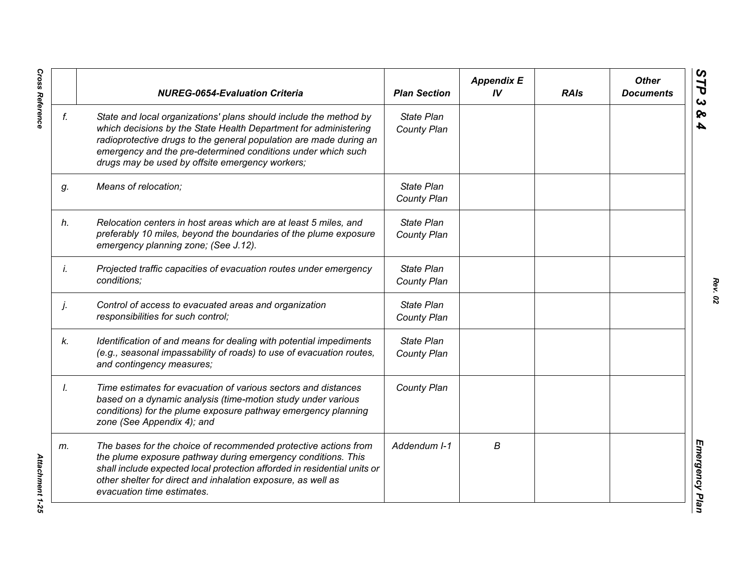|    | <b>NUREG-0654-Evaluation Criteria</b>                                                                                                                                                                                                                                                                                          | <b>Plan Section</b>              | <b>Appendix E</b><br>IV | <b>RAIs</b> | <b>Other</b><br><b>Documents</b> |
|----|--------------------------------------------------------------------------------------------------------------------------------------------------------------------------------------------------------------------------------------------------------------------------------------------------------------------------------|----------------------------------|-------------------------|-------------|----------------------------------|
| f. | State and local organizations' plans should include the method by<br>which decisions by the State Health Department for administering<br>radioprotective drugs to the general population are made during an<br>emergency and the pre-determined conditions under which such<br>drugs may be used by offsite emergency workers; | <b>State Plan</b><br>County Plan |                         |             |                                  |
| g. | Means of relocation;                                                                                                                                                                                                                                                                                                           | State Plan<br>County Plan        |                         |             |                                  |
| h. | Relocation centers in host areas which are at least 5 miles, and<br>preferably 10 miles, beyond the boundaries of the plume exposure<br>emergency planning zone; (See J.12).                                                                                                                                                   | State Plan<br>County Plan        |                         |             |                                  |
| İ. | Projected traffic capacities of evacuation routes under emergency<br>conditions;                                                                                                                                                                                                                                               | State Plan<br>County Plan        |                         |             |                                  |
| j. | Control of access to evacuated areas and organization<br>responsibilities for such control;                                                                                                                                                                                                                                    | State Plan<br>County Plan        |                         |             |                                  |
| k. | Identification of and means for dealing with potential impediments<br>(e.g., seasonal impassability of roads) to use of evacuation routes,<br>and contingency measures;                                                                                                                                                        | State Plan<br>County Plan        |                         |             |                                  |
| Ι. | Time estimates for evacuation of various sectors and distances<br>based on a dynamic analysis (time-motion study under various<br>conditions) for the plume exposure pathway emergency planning<br>zone (See Appendix 4); and                                                                                                  | County Plan                      |                         |             |                                  |
| m. | The bases for the choice of recommended protective actions from<br>the plume exposure pathway during emergency conditions. This<br>shall include expected local protection afforded in residential units or<br>other shelter for direct and inhalation exposure, as well as<br>evacuation time estimates.                      | Addendum I-1                     | В                       |             |                                  |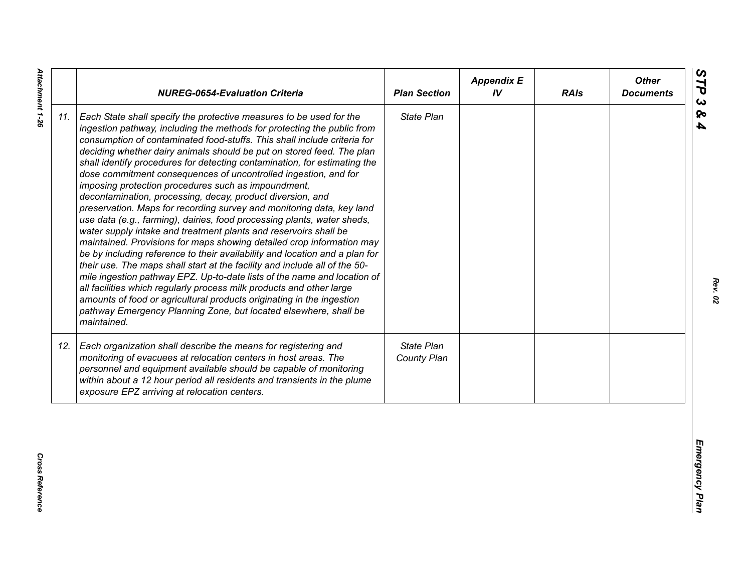| State Plan<br>Each State shall specify the protective measures to be used for the<br>ingestion pathway, including the methods for protecting the public from<br>consumption of contaminated food-stuffs. This shall include criteria for<br>deciding whether dairy animals should be put on stored feed. The plan<br>shall identify procedures for detecting contamination, for estimating the<br>dose commitment consequences of uncontrolled ingestion, and for<br>imposing protection procedures such as impoundment,<br>decontamination, processing, decay, product diversion, and<br>preservation. Maps for recording survey and monitoring data, key land<br>use data (e.g., farming), dairies, food processing plants, water sheds,<br>water supply intake and treatment plants and reservoirs shall be<br>maintained. Provisions for maps showing detailed crop information may<br>be by including reference to their availability and location and a plan for<br>their use. The maps shall start at the facility and include all of the 50-<br>mile ingestion pathway EPZ. Up-to-date lists of the name and location of<br>all facilities which regularly process milk products and other large<br>amounts of food or agricultural products originating in the ingestion<br>pathway Emergency Planning Zone, but located elsewhere, shall be<br>maintained.<br>State Plan<br>Each organization shall describe the means for registering and<br>monitoring of evacuees at relocation centers in host areas. The<br>County Plan<br>personnel and equipment available should be capable of monitoring<br>within about a 12 hour period all residents and transients in the plume<br>exposure EPZ arriving at relocation centers. |     | <b>NUREG-0654-Evaluation Criteria</b> | <b>Plan Section</b> | <b>Appendix E</b><br>IV | <b>RAIs</b> | <b>Other</b><br><b>Documents</b> |
|----------------------------------------------------------------------------------------------------------------------------------------------------------------------------------------------------------------------------------------------------------------------------------------------------------------------------------------------------------------------------------------------------------------------------------------------------------------------------------------------------------------------------------------------------------------------------------------------------------------------------------------------------------------------------------------------------------------------------------------------------------------------------------------------------------------------------------------------------------------------------------------------------------------------------------------------------------------------------------------------------------------------------------------------------------------------------------------------------------------------------------------------------------------------------------------------------------------------------------------------------------------------------------------------------------------------------------------------------------------------------------------------------------------------------------------------------------------------------------------------------------------------------------------------------------------------------------------------------------------------------------------------------------------------------------------------------------------------------------------|-----|---------------------------------------|---------------------|-------------------------|-------------|----------------------------------|
|                                                                                                                                                                                                                                                                                                                                                                                                                                                                                                                                                                                                                                                                                                                                                                                                                                                                                                                                                                                                                                                                                                                                                                                                                                                                                                                                                                                                                                                                                                                                                                                                                                                                                                                                        | 11. |                                       |                     |                         |             |                                  |
|                                                                                                                                                                                                                                                                                                                                                                                                                                                                                                                                                                                                                                                                                                                                                                                                                                                                                                                                                                                                                                                                                                                                                                                                                                                                                                                                                                                                                                                                                                                                                                                                                                                                                                                                        | 12. |                                       |                     |                         |             |                                  |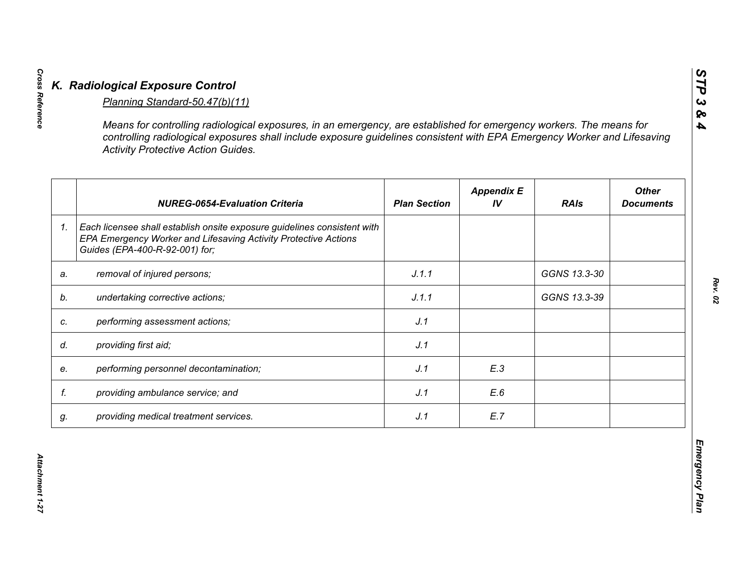|                | <b>NUREG-0654-Evaluation Criteria</b>                                                                                                                                         | <b>Plan Section</b> | <b>Appendix E</b><br>IV | <b>RAIs</b>  | <b>Other</b><br><b>Documents</b> |
|----------------|-------------------------------------------------------------------------------------------------------------------------------------------------------------------------------|---------------------|-------------------------|--------------|----------------------------------|
| 1 <sub>1</sub> | Each licensee shall establish onsite exposure guidelines consistent with<br>EPA Emergency Worker and Lifesaving Activity Protective Actions<br>Guides (EPA-400-R-92-001) for; |                     |                         |              |                                  |
| a.             | removal of injured persons;                                                                                                                                                   | J.1.1               |                         | GGNS 13.3-30 |                                  |
| b.             | undertaking corrective actions;                                                                                                                                               | J.1.1               |                         | GGNS 13.3-39 |                                  |
| c.             | performing assessment actions;                                                                                                                                                | J.1                 |                         |              |                                  |
| d.             | providing first aid;                                                                                                                                                          | J.1                 |                         |              |                                  |
| e.             | performing personnel decontamination;                                                                                                                                         | J.1                 | E.3                     |              |                                  |
| f.             | providing ambulance service; and                                                                                                                                              | J.1                 | E.6                     |              |                                  |
| g.             | providing medical treatment services.                                                                                                                                         | J.1                 | E.7                     |              |                                  |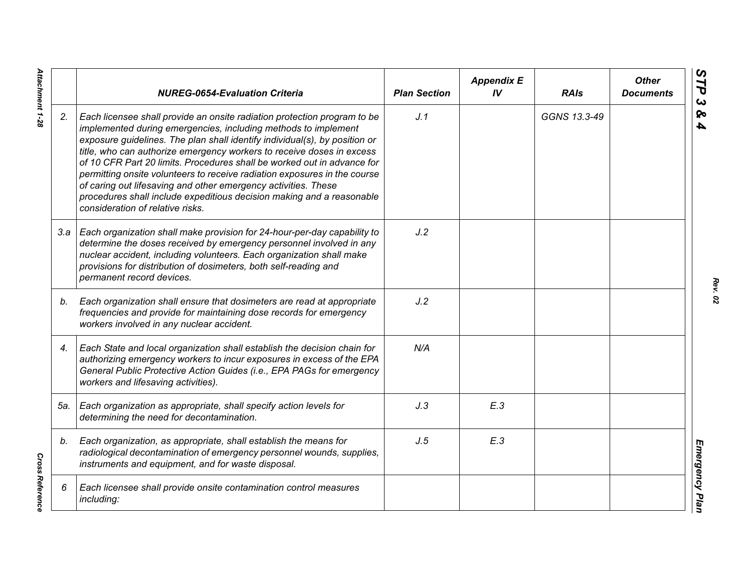|     | <b>NUREG-0654-Evaluation Criteria</b>                                                                                                                                                                                                                                                                                                                                                                                                                                                                                                                                                                                                    | <b>Plan Section</b> | <b>Appendix E</b><br>IV | <b>RAIs</b>  | <b>Other</b><br><b>Documents</b> |
|-----|------------------------------------------------------------------------------------------------------------------------------------------------------------------------------------------------------------------------------------------------------------------------------------------------------------------------------------------------------------------------------------------------------------------------------------------------------------------------------------------------------------------------------------------------------------------------------------------------------------------------------------------|---------------------|-------------------------|--------------|----------------------------------|
| 2.  | Each licensee shall provide an onsite radiation protection program to be<br>implemented during emergencies, including methods to implement<br>exposure guidelines. The plan shall identify individual(s), by position or<br>title, who can authorize emergency workers to receive doses in excess<br>of 10 CFR Part 20 limits. Procedures shall be worked out in advance for<br>permitting onsite volunteers to receive radiation exposures in the course<br>of caring out lifesaving and other emergency activities. These<br>procedures shall include expeditious decision making and a reasonable<br>consideration of relative risks. | J.1                 |                         | GGNS 13.3-49 |                                  |
|     | 3.a   Each organization shall make provision for 24-hour-per-day capability to<br>determine the doses received by emergency personnel involved in any<br>nuclear accident, including volunteers. Each organization shall make<br>provisions for distribution of dosimeters, both self-reading and<br>permanent record devices.                                                                                                                                                                                                                                                                                                           | J.2                 |                         |              |                                  |
| b.  | Each organization shall ensure that dosimeters are read at appropriate<br>frequencies and provide for maintaining dose records for emergency<br>workers involved in any nuclear accident.                                                                                                                                                                                                                                                                                                                                                                                                                                                | J.2                 |                         |              |                                  |
| 4.  | Each State and local organization shall establish the decision chain for<br>authorizing emergency workers to incur exposures in excess of the EPA<br>General Public Protective Action Guides (i.e., EPA PAGs for emergency<br>workers and lifesaving activities).                                                                                                                                                                                                                                                                                                                                                                        | N/A                 |                         |              |                                  |
| 5а. | Each organization as appropriate, shall specify action levels for<br>determining the need for decontamination.                                                                                                                                                                                                                                                                                                                                                                                                                                                                                                                           | J.3                 | E.3                     |              |                                  |
| b.  | Each organization, as appropriate, shall establish the means for<br>radiological decontamination of emergency personnel wounds, supplies,<br>instruments and equipment, and for waste disposal.                                                                                                                                                                                                                                                                                                                                                                                                                                          | J.5                 | E.3                     |              |                                  |
| 6   | Each licensee shall provide onsite contamination control measures<br>including:                                                                                                                                                                                                                                                                                                                                                                                                                                                                                                                                                          |                     |                         |              |                                  |

*Rev. 02*

Attachment 1-28 *Attachment 1-28*

**Cross Reference** *Cross Reference*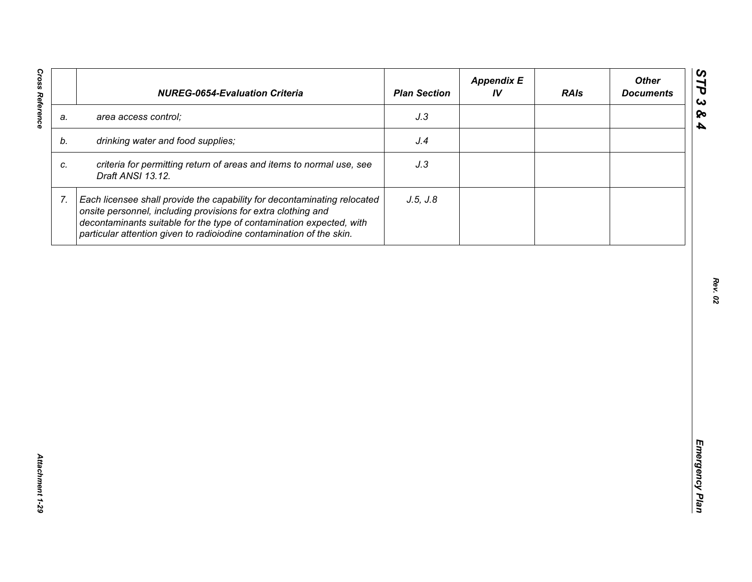| J.3<br>area access control;<br>a.<br>drinking water and food supplies;<br>J.4<br>b.<br>criteria for permitting return of areas and items to normal use, see<br>J.3<br>C.<br>Draft ANSI 13.12.<br>J.5, J.8<br>7.<br>Each licensee shall provide the capability for decontaminating relocated<br>onsite personnel, including provisions for extra clothing and | <b>NUREG-0654-Evaluation Criteria</b>                                | <b>Plan Section</b> | <b>Appendix E</b><br>IV | <b>RAIs</b> | <b>Other</b><br><b>Documents</b> |
|--------------------------------------------------------------------------------------------------------------------------------------------------------------------------------------------------------------------------------------------------------------------------------------------------------------------------------------------------------------|----------------------------------------------------------------------|---------------------|-------------------------|-------------|----------------------------------|
|                                                                                                                                                                                                                                                                                                                                                              |                                                                      |                     |                         |             |                                  |
|                                                                                                                                                                                                                                                                                                                                                              |                                                                      |                     |                         |             |                                  |
|                                                                                                                                                                                                                                                                                                                                                              |                                                                      |                     |                         |             |                                  |
| particular attention given to radioiodine contamination of the skin.                                                                                                                                                                                                                                                                                         | decontaminants suitable for the type of contamination expected, with |                     |                         |             |                                  |
|                                                                                                                                                                                                                                                                                                                                                              |                                                                      |                     |                         |             |                                  |
|                                                                                                                                                                                                                                                                                                                                                              |                                                                      |                     |                         |             |                                  |
|                                                                                                                                                                                                                                                                                                                                                              |                                                                      |                     |                         |             |                                  |
|                                                                                                                                                                                                                                                                                                                                                              |                                                                      |                     |                         |             |                                  |
|                                                                                                                                                                                                                                                                                                                                                              |                                                                      |                     |                         |             |                                  |
|                                                                                                                                                                                                                                                                                                                                                              |                                                                      |                     |                         |             |                                  |
|                                                                                                                                                                                                                                                                                                                                                              |                                                                      |                     |                         |             |                                  |
|                                                                                                                                                                                                                                                                                                                                                              |                                                                      |                     |                         |             |                                  |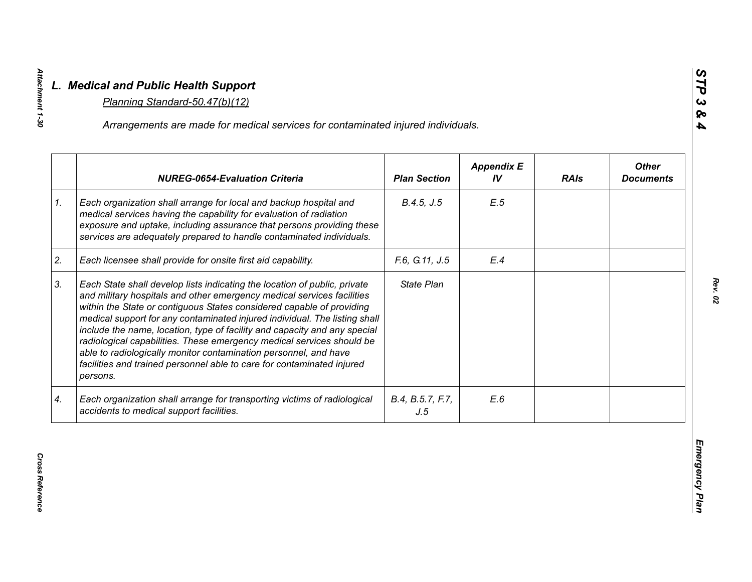|    |                                                                                                                                                                                                                                                                                                                                                                                                                                                                                                                                                                                                                            |                         | <b>Appendix E</b> |             | <b>Other</b>     |
|----|----------------------------------------------------------------------------------------------------------------------------------------------------------------------------------------------------------------------------------------------------------------------------------------------------------------------------------------------------------------------------------------------------------------------------------------------------------------------------------------------------------------------------------------------------------------------------------------------------------------------------|-------------------------|-------------------|-------------|------------------|
|    | <b>NUREG-0654-Evaluation Criteria</b>                                                                                                                                                                                                                                                                                                                                                                                                                                                                                                                                                                                      | <b>Plan Section</b>     | IV                | <b>RAIs</b> | <b>Documents</b> |
| 1. | Each organization shall arrange for local and backup hospital and<br>medical services having the capability for evaluation of radiation<br>exposure and uptake, including assurance that persons providing these<br>services are adequately prepared to handle contaminated individuals.                                                                                                                                                                                                                                                                                                                                   | B.4.5, J.5              | E.5               |             |                  |
| 2. | Each licensee shall provide for onsite first aid capability.                                                                                                                                                                                                                                                                                                                                                                                                                                                                                                                                                               | F.6, G.11, J.5          | E.4               |             |                  |
| 3. | Each State shall develop lists indicating the location of public, private<br>and military hospitals and other emergency medical services facilities<br>within the State or contiguous States considered capable of providing<br>medical support for any contaminated injured individual. The listing shall<br>include the name, location, type of facility and capacity and any special<br>radiological capabilities. These emergency medical services should be<br>able to radiologically monitor contamination personnel, and have<br>facilities and trained personnel able to care for contaminated injured<br>persons. | <b>State Plan</b>       |                   |             |                  |
|    | Each organization shall arrange for transporting victims of radiological<br>accidents to medical support facilities.                                                                                                                                                                                                                                                                                                                                                                                                                                                                                                       | B.4, B.5.7, F.7,<br>J.5 | E.6               |             |                  |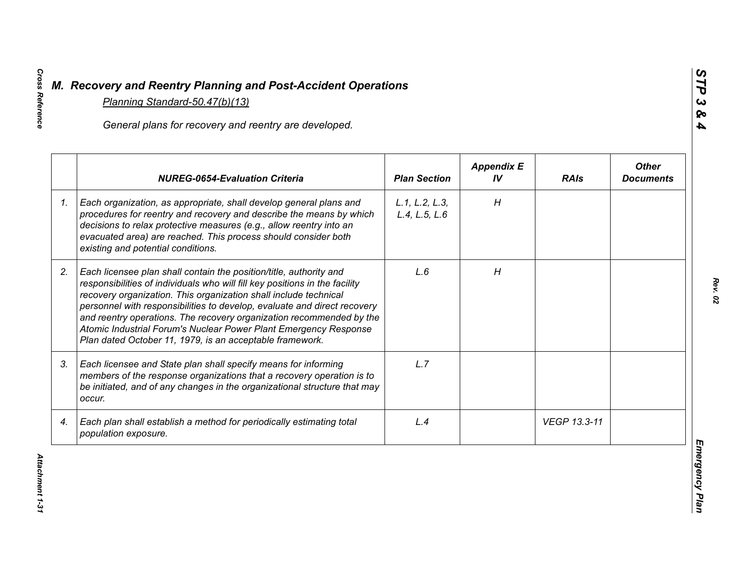|    | General plans for recovery and reentry are developed.                                                                                                                                                                                                                                                                                                                                                                                                                                                     |                                 |                         |              |                                  |
|----|-----------------------------------------------------------------------------------------------------------------------------------------------------------------------------------------------------------------------------------------------------------------------------------------------------------------------------------------------------------------------------------------------------------------------------------------------------------------------------------------------------------|---------------------------------|-------------------------|--------------|----------------------------------|
|    | <b>NUREG-0654-Evaluation Criteria</b>                                                                                                                                                                                                                                                                                                                                                                                                                                                                     | <b>Plan Section</b>             | <b>Appendix E</b><br>IV | <b>RAIs</b>  | <b>Other</b><br><b>Documents</b> |
| 1. | Each organization, as appropriate, shall develop general plans and<br>procedures for reentry and recovery and describe the means by which<br>decisions to relax protective measures (e.g., allow reentry into an<br>evacuated area) are reached. This process should consider both<br>existing and potential conditions.                                                                                                                                                                                  | L.1, L.2, L.3,<br>L.4, L.5, L.6 | H                       |              |                                  |
| 2. | Each licensee plan shall contain the position/title, authority and<br>responsibilities of individuals who will fill key positions in the facility<br>recovery organization. This organization shall include technical<br>personnel with responsibilities to develop, evaluate and direct recovery<br>and reentry operations. The recovery organization recommended by the<br>Atomic Industrial Forum's Nuclear Power Plant Emergency Response<br>Plan dated October 11, 1979, is an acceptable framework. | L.6                             | H                       |              |                                  |
| 3. | Each licensee and State plan shall specify means for informing<br>members of the response organizations that a recovery operation is to<br>be initiated, and of any changes in the organizational structure that may<br>occur.                                                                                                                                                                                                                                                                            | L.7                             |                         |              |                                  |
| 4. | Each plan shall establish a method for periodically estimating total<br>population exposure.                                                                                                                                                                                                                                                                                                                                                                                                              | L.4                             |                         | VEGP 13.3-11 |                                  |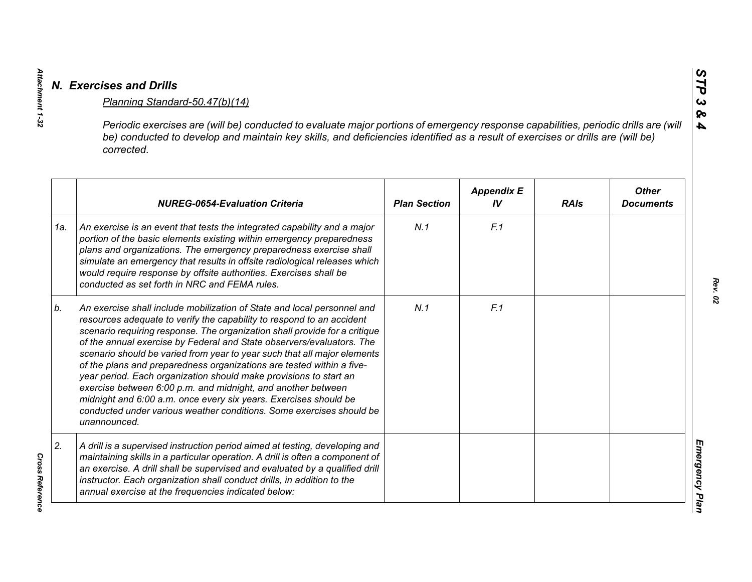|     | Periodic exercises are (will be) conducted to evaluate major portions of emergency response capabilities, periodic drills are (will<br>be) conducted to develop and maintain key skills, and deficiencies identified as a result of exercises or drills are (will be)<br>corrected.                                                                                                                                                                                                                                                                                                                                                                                                                                                                           |                     |                         |             |                                  |
|-----|---------------------------------------------------------------------------------------------------------------------------------------------------------------------------------------------------------------------------------------------------------------------------------------------------------------------------------------------------------------------------------------------------------------------------------------------------------------------------------------------------------------------------------------------------------------------------------------------------------------------------------------------------------------------------------------------------------------------------------------------------------------|---------------------|-------------------------|-------------|----------------------------------|
|     | <b>NUREG-0654-Evaluation Criteria</b>                                                                                                                                                                                                                                                                                                                                                                                                                                                                                                                                                                                                                                                                                                                         | <b>Plan Section</b> | <b>Appendix E</b><br>IV | <b>RAIs</b> | <b>Other</b><br><b>Documents</b> |
| 1a. | An exercise is an event that tests the integrated capability and a major<br>portion of the basic elements existing within emergency preparedness<br>plans and organizations. The emergency preparedness exercise shall<br>simulate an emergency that results in offsite radiological releases which<br>would require response by offsite authorities. Exercises shall be<br>conducted as set forth in NRC and FEMA rules.                                                                                                                                                                                                                                                                                                                                     | N.1                 | F.1                     |             |                                  |
| b.  | An exercise shall include mobilization of State and local personnel and<br>resources adequate to verify the capability to respond to an accident<br>scenario requiring response. The organization shall provide for a critique<br>of the annual exercise by Federal and State observers/evaluators. The<br>scenario should be varied from year to year such that all major elements<br>of the plans and preparedness organizations are tested within a five-<br>year period. Each organization should make provisions to start an<br>exercise between 6:00 p.m. and midnight, and another between<br>midnight and 6:00 a.m. once every six years. Exercises should be<br>conducted under various weather conditions. Some exercises should be<br>unannounced. | N.1                 | F.1                     |             |                                  |
| 2.  | A drill is a supervised instruction period aimed at testing, developing and<br>maintaining skills in a particular operation. A drill is often a component of<br>an exercise. A drill shall be supervised and evaluated by a qualified drill<br>instructor. Each organization shall conduct drills, in addition to the<br>annual exercise at the frequencies indicated below:                                                                                                                                                                                                                                                                                                                                                                                  |                     |                         |             |                                  |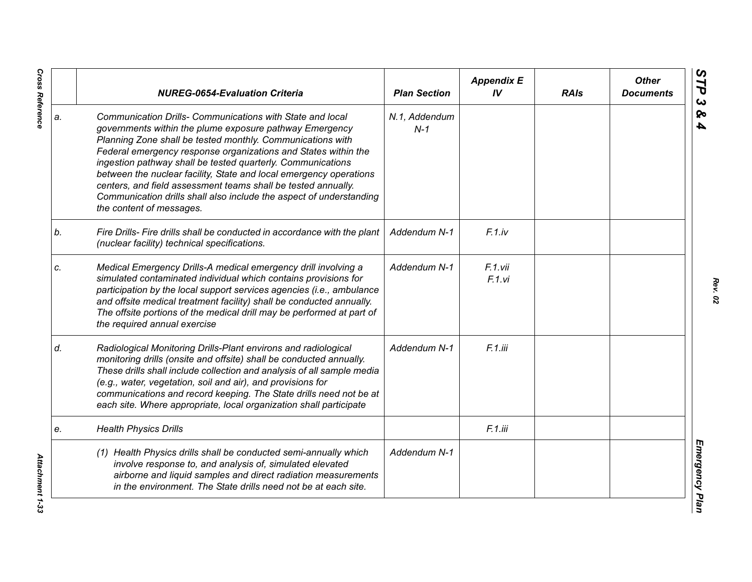|    | <b>NUREG-0654-Evaluation Criteria</b>                                                                                                                                                                                                                                                                                                                                                                                                                                                                                                                         | <b>Plan Section</b>    | <b>Appendix E</b><br>IV | <b>RAIs</b> | <b>Other</b><br><b>Documents</b> |
|----|---------------------------------------------------------------------------------------------------------------------------------------------------------------------------------------------------------------------------------------------------------------------------------------------------------------------------------------------------------------------------------------------------------------------------------------------------------------------------------------------------------------------------------------------------------------|------------------------|-------------------------|-------------|----------------------------------|
| a. | Communication Drills- Communications with State and local<br>governments within the plume exposure pathway Emergency<br>Planning Zone shall be tested monthly. Communications with<br>Federal emergency response organizations and States within the<br>ingestion pathway shall be tested quarterly. Communications<br>between the nuclear facility, State and local emergency operations<br>centers, and field assessment teams shall be tested annually.<br>Communication drills shall also include the aspect of understanding<br>the content of messages. | N.1, Addendum<br>$N-1$ |                         |             |                                  |
| b. | Fire Drills- Fire drills shall be conducted in accordance with the plant<br>(nuclear facility) technical specifications.                                                                                                                                                                                                                                                                                                                                                                                                                                      | Addendum N-1           | $F.1$ .iv               |             |                                  |
| C. | Medical Emergency Drills-A medical emergency drill involving a<br>simulated contaminated individual which contains provisions for<br>participation by the local support services agencies (i.e., ambulance<br>and offsite medical treatment facility) shall be conducted annually.<br>The offsite portions of the medical drill may be performed at part of<br>the required annual exercise                                                                                                                                                                   | Addendum N-1           | F.1.vii<br>F.1.vi       |             |                                  |
| d. | Radiological Monitoring Drills-Plant environs and radiological<br>monitoring drills (onsite and offsite) shall be conducted annually.<br>These drills shall include collection and analysis of all sample media<br>(e.g., water, vegetation, soil and air), and provisions for<br>communications and record keeping. The State drills need not be at<br>each site. Where appropriate, local organization shall participate                                                                                                                                    | Addendum N-1           | F.1.iii                 |             |                                  |
| e. | <b>Health Physics Drills</b>                                                                                                                                                                                                                                                                                                                                                                                                                                                                                                                                  |                        | F.1.iii                 |             |                                  |
|    | (1) Health Physics drills shall be conducted semi-annually which<br>involve response to, and analysis of, simulated elevated<br>airborne and liquid samples and direct radiation measurements<br>in the environment. The State drills need not be at each site.                                                                                                                                                                                                                                                                                               | Addendum N-1           |                         |             |                                  |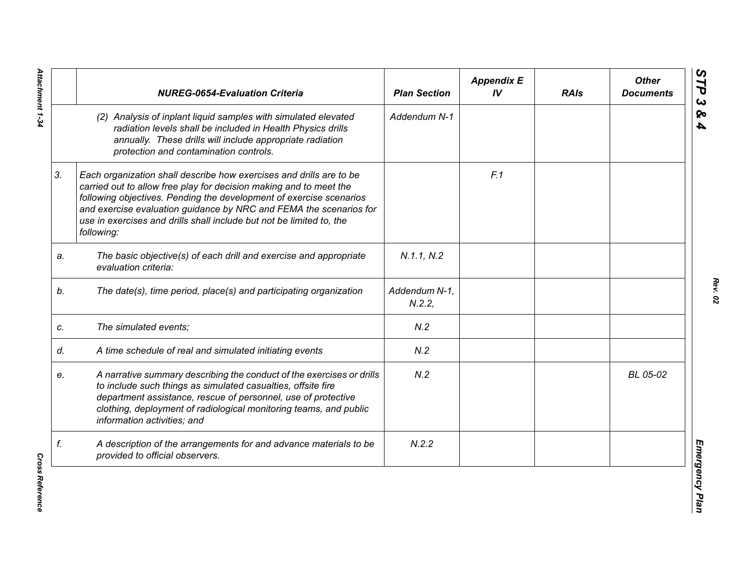|    | <b>NUREG-0654-Evaluation Criteria</b>                                                                                                                                                                                                                                                                                                                                        | <b>Plan Section</b>    | <b>Appendix E</b><br>IV | <b>RAIs</b> | <b>Other</b><br><b>Documents</b> |
|----|------------------------------------------------------------------------------------------------------------------------------------------------------------------------------------------------------------------------------------------------------------------------------------------------------------------------------------------------------------------------------|------------------------|-------------------------|-------------|----------------------------------|
|    | (2) Analysis of inplant liquid samples with simulated elevated<br>radiation levels shall be included in Health Physics drills<br>annually. These drills will include appropriate radiation<br>protection and contamination controls.                                                                                                                                         | Addendum N-1           |                         |             |                                  |
| 3. | Each organization shall describe how exercises and drills are to be<br>carried out to allow free play for decision making and to meet the<br>following objectives. Pending the development of exercise scenarios<br>and exercise evaluation guidance by NRC and FEMA the scenarios for<br>use in exercises and drills shall include but not be limited to, the<br>following: |                        | F.1                     |             |                                  |
| a. | The basic objective(s) of each drill and exercise and appropriate<br>evaluation criteria:                                                                                                                                                                                                                                                                                    | N.1.1, N.2             |                         |             |                                  |
| b. | The date(s), time period, place(s) and participating organization                                                                                                                                                                                                                                                                                                            | Addendum N-1,<br>N.2.2 |                         |             |                                  |
| C. | The simulated events;                                                                                                                                                                                                                                                                                                                                                        | N.2                    |                         |             |                                  |
| d. | A time schedule of real and simulated initiating events                                                                                                                                                                                                                                                                                                                      | N.2                    |                         |             |                                  |
| e. | A narrative summary describing the conduct of the exercises or drills<br>to include such things as simulated casualties, offsite fire<br>department assistance, rescue of personnel, use of protective<br>clothing, deployment of radiological monitoring teams, and public<br>information activities; and                                                                   | N.2                    |                         |             | BL 05-02                         |
| f. | A description of the arrangements for and advance materials to be<br>provided to official observers.                                                                                                                                                                                                                                                                         | N.2.2                  |                         |             |                                  |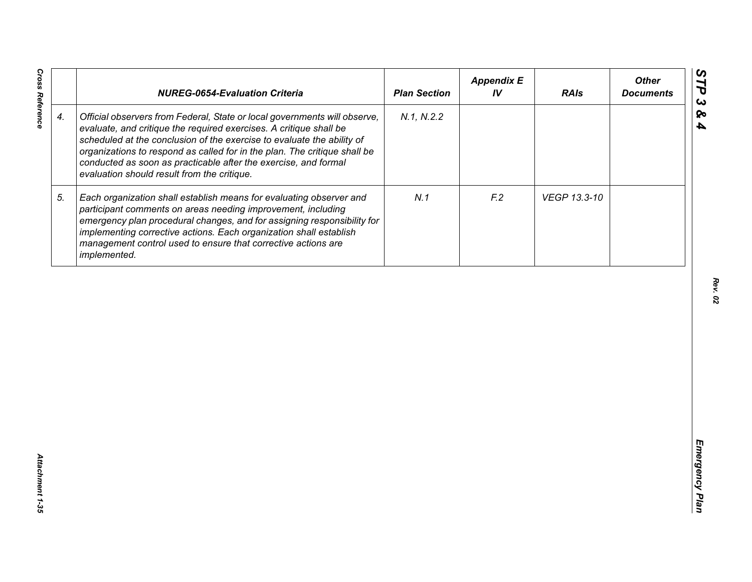|                    | <b>NUREG-0654-Evaluation Criteria</b>                                                                                                                                                                                                                                                                                                                                                                                    | <b>Plan Section</b> | <b>Appendix E</b><br>IV | <b>RAIs</b>  | <b>Other</b><br><b>Documents</b> |
|--------------------|--------------------------------------------------------------------------------------------------------------------------------------------------------------------------------------------------------------------------------------------------------------------------------------------------------------------------------------------------------------------------------------------------------------------------|---------------------|-------------------------|--------------|----------------------------------|
| $\boldsymbol{4}$ . | Official observers from Federal, State or local governments will observe,<br>evaluate, and critique the required exercises. A critique shall be<br>scheduled at the conclusion of the exercise to evaluate the ability of<br>organizations to respond as called for in the plan. The critique shall be<br>conducted as soon as practicable after the exercise, and formal<br>evaluation should result from the critique. | N.1, N.2.2          |                         |              |                                  |
| 5.                 | Each organization shall establish means for evaluating observer and<br>participant comments on areas needing improvement, including<br>emergency plan procedural changes, and for assigning responsibility for<br>implementing corrective actions. Each organization shall establish<br>management control used to ensure that corrective actions are<br>implemented.                                                    | N.1                 | F <sub>12</sub>         | VEGP 13.3-10 |                                  |
|                    |                                                                                                                                                                                                                                                                                                                                                                                                                          |                     |                         |              |                                  |
|                    |                                                                                                                                                                                                                                                                                                                                                                                                                          |                     |                         |              |                                  |
|                    |                                                                                                                                                                                                                                                                                                                                                                                                                          |                     |                         |              |                                  |
|                    |                                                                                                                                                                                                                                                                                                                                                                                                                          |                     |                         |              |                                  |
|                    |                                                                                                                                                                                                                                                                                                                                                                                                                          |                     |                         |              |                                  |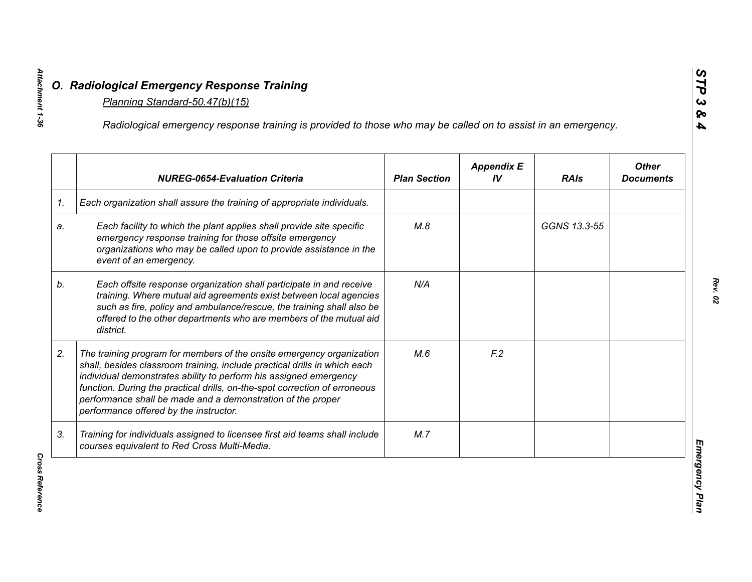|    | Radiological emergency response training is provided to those who may be called on to assist in an emergency.                                                                                                                                                                                                                                                                                                  |                     |                         |              |                                  |
|----|----------------------------------------------------------------------------------------------------------------------------------------------------------------------------------------------------------------------------------------------------------------------------------------------------------------------------------------------------------------------------------------------------------------|---------------------|-------------------------|--------------|----------------------------------|
|    | <b>NUREG-0654-Evaluation Criteria</b>                                                                                                                                                                                                                                                                                                                                                                          | <b>Plan Section</b> | <b>Appendix E</b><br>IV | <b>RAIs</b>  | <b>Other</b><br><b>Documents</b> |
|    | Each organization shall assure the training of appropriate individuals.                                                                                                                                                                                                                                                                                                                                        |                     |                         |              |                                  |
| a. | Each facility to which the plant applies shall provide site specific<br>emergency response training for those offsite emergency<br>organizations who may be called upon to provide assistance in the<br>event of an emergency.                                                                                                                                                                                 | M.8                 |                         | GGNS 13.3-55 |                                  |
|    | Each offsite response organization shall participate in and receive<br>training. Where mutual aid agreements exist between local agencies<br>such as fire, policy and ambulance/rescue, the training shall also be<br>offered to the other departments who are members of the mutual aid<br>district.                                                                                                          | N/A                 |                         |              |                                  |
| 2. | The training program for members of the onsite emergency organization<br>shall, besides classroom training, include practical drills in which each<br>individual demonstrates ability to perform his assigned emergency<br>function. During the practical drills, on-the-spot correction of erroneous<br>performance shall be made and a demonstration of the proper<br>performance offered by the instructor. | M.6                 | F <sub>2</sub>          |              |                                  |
|    | Training for individuals assigned to licensee first aid teams shall include<br>courses equivalent to Red Cross Multi-Media.                                                                                                                                                                                                                                                                                    | M.7                 |                         |              |                                  |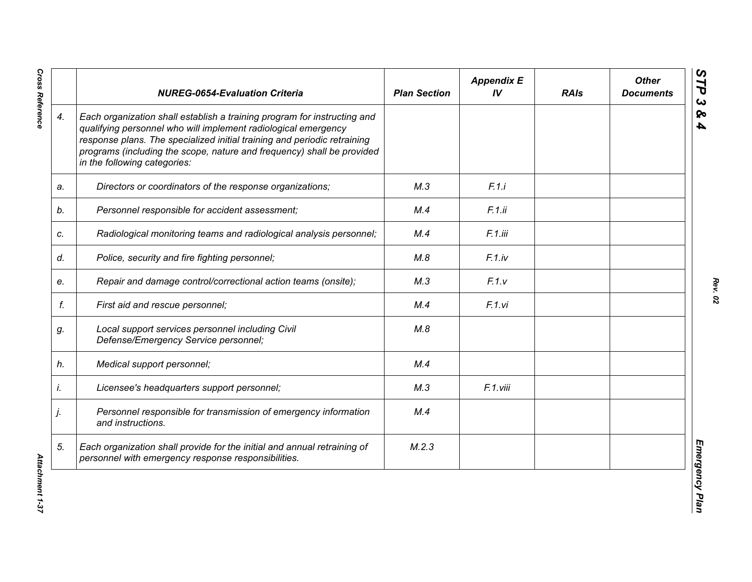|    | <b>NUREG-0654-Evaluation Criteria</b>                                                                                                                                                                                                                                                                                            | <b>Plan Section</b> | <b>Appendix E</b><br>IV | <b>RAIs</b> | <b>Other</b><br><b>Documents</b> |
|----|----------------------------------------------------------------------------------------------------------------------------------------------------------------------------------------------------------------------------------------------------------------------------------------------------------------------------------|---------------------|-------------------------|-------------|----------------------------------|
| 4. | Each organization shall establish a training program for instructing and<br>qualifying personnel who will implement radiological emergency<br>response plans. The specialized initial training and periodic retraining<br>programs (including the scope, nature and frequency) shall be provided<br>in the following categories: |                     |                         |             |                                  |
| a. | Directors or coordinators of the response organizations;                                                                                                                                                                                                                                                                         | M.3                 | F.1.i                   |             |                                  |
| b. | Personnel responsible for accident assessment;                                                                                                                                                                                                                                                                                   | M.4                 | F.1.ii                  |             |                                  |
| c. | Radiological monitoring teams and radiological analysis personnel;                                                                                                                                                                                                                                                               | M.4                 | F.1.iii                 |             |                                  |
| d. | Police, security and fire fighting personnel;                                                                                                                                                                                                                                                                                    | M.8                 | F.1iv                   |             |                                  |
| e. | Repair and damage control/correctional action teams (onsite);                                                                                                                                                                                                                                                                    | M.3                 | F.1.v                   |             |                                  |
| f. | First aid and rescue personnel;                                                                                                                                                                                                                                                                                                  | M.4                 | F.1.vi                  |             |                                  |
| g. | Local support services personnel including Civil<br>Defense/Emergency Service personnel;                                                                                                                                                                                                                                         | M.8                 |                         |             |                                  |
| h. | Medical support personnel;                                                                                                                                                                                                                                                                                                       | M.4                 |                         |             |                                  |
| i. | Licensee's headquarters support personnel;                                                                                                                                                                                                                                                                                       | M.3                 | F.1.viii                |             |                                  |
| j. | Personnel responsible for transmission of emergency information<br>and instructions.                                                                                                                                                                                                                                             | M.4                 |                         |             |                                  |
| 5. | Each organization shall provide for the initial and annual retraining of<br>personnel with emergency response responsibilities.                                                                                                                                                                                                  | M.2.3               |                         |             |                                  |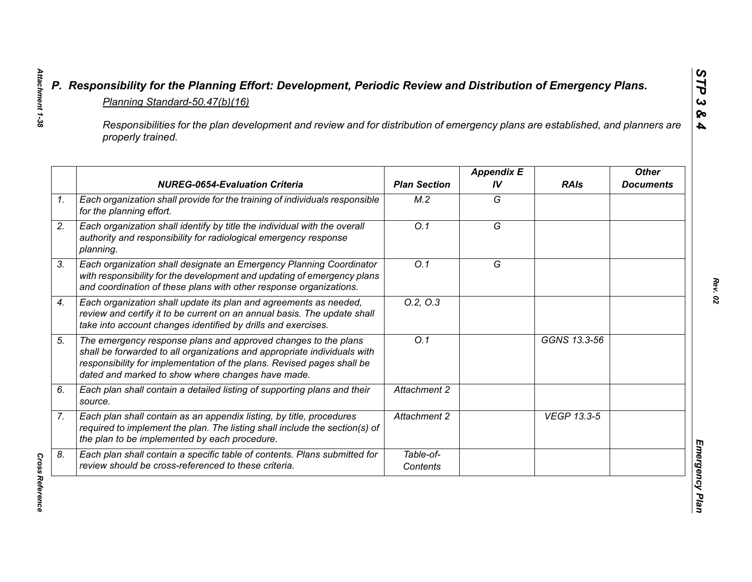| Responsibilities for the plan development and review and for distribution of emergency plans are established, and planners are<br>properly trained. |                                                                                                                                                                                                                                                                           |                       |                         |              |                                  |  |
|-----------------------------------------------------------------------------------------------------------------------------------------------------|---------------------------------------------------------------------------------------------------------------------------------------------------------------------------------------------------------------------------------------------------------------------------|-----------------------|-------------------------|--------------|----------------------------------|--|
|                                                                                                                                                     | <b>NUREG-0654-Evaluation Criteria</b>                                                                                                                                                                                                                                     | <b>Plan Section</b>   | <b>Appendix E</b><br>IV | <b>RAIs</b>  | <b>Other</b><br><b>Documents</b> |  |
| 1 <sub>1</sub>                                                                                                                                      | Each organization shall provide for the training of individuals responsible<br>for the planning effort.                                                                                                                                                                   | M.2                   | G                       |              |                                  |  |
| 2.                                                                                                                                                  | Each organization shall identify by title the individual with the overall<br>authority and responsibility for radiological emergency response<br>planning.                                                                                                                | $\overline{O.1}$      | $\overline{G}$          |              |                                  |  |
| 3.                                                                                                                                                  | Each organization shall designate an Emergency Planning Coordinator<br>with responsibility for the development and updating of emergency plans<br>and coordination of these plans with other response organizations.                                                      | O.1                   | G                       |              |                                  |  |
| 4.                                                                                                                                                  | Each organization shall update its plan and agreements as needed,<br>review and certify it to be current on an annual basis. The update shall<br>take into account changes identified by drills and exercises.                                                            | 0.2, 0.3              |                         |              |                                  |  |
| 5.                                                                                                                                                  | The emergency response plans and approved changes to the plans<br>shall be forwarded to all organizations and appropriate individuals with<br>responsibility for implementation of the plans. Revised pages shall be<br>dated and marked to show where changes have made. | $\overline{O.1}$      |                         | GGNS 13.3-56 |                                  |  |
| 6.                                                                                                                                                  | Each plan shall contain a detailed listing of supporting plans and their<br>source.                                                                                                                                                                                       | <b>Attachment 2</b>   |                         |              |                                  |  |
| 7.                                                                                                                                                  | Each plan shall contain as an appendix listing, by title, procedures<br>required to implement the plan. The listing shall include the section(s) of<br>the plan to be implemented by each procedure.                                                                      | Attachment 2          |                         | VEGP 13.3-5  |                                  |  |
| 8.                                                                                                                                                  | Each plan shall contain a specific table of contents. Plans submitted for<br>review should be cross-referenced to these criteria.                                                                                                                                         | Table-of-<br>Contents |                         |              |                                  |  |